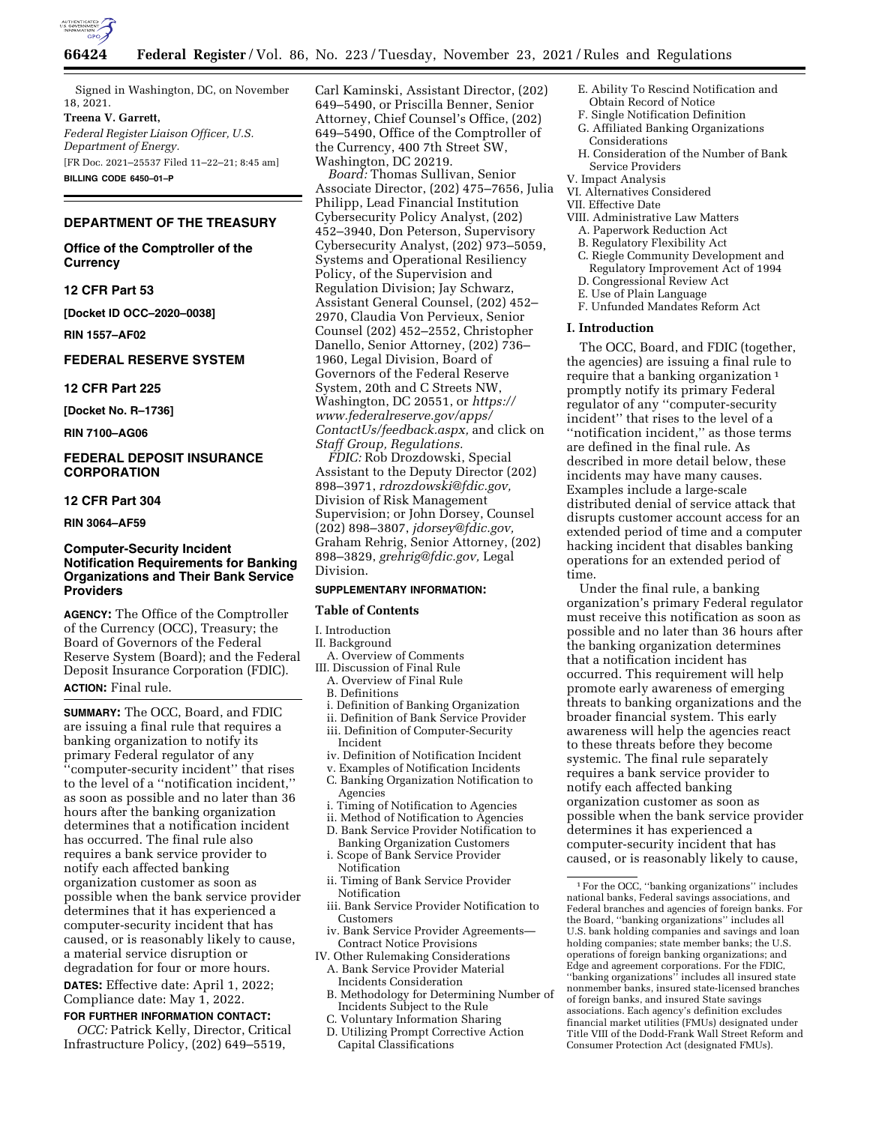

Signed in Washington, DC, on November 18, 2021.

**Treena V. Garrett,**  *Federal Register Liaison Officer, U.S. Department of Energy.*  [FR Doc. 2021–25537 Filed 11–22–21; 8:45 am] **BILLING CODE 6450–01–P** 

## **DEPARTMENT OF THE TREASURY**

**Office of the Comptroller of the Currency** 

### **12 CFR Part 53**

**[Docket ID OCC–2020–0038]** 

**RIN 1557–AF02** 

## **FEDERAL RESERVE SYSTEM**

#### **12 CFR Part 225**

**[Docket No. R–1736]** 

**RIN 7100–AG06** 

# **FEDERAL DEPOSIT INSURANCE CORPORATION**

### **12 CFR Part 304**

**RIN 3064–AF59** 

### **Computer-Security Incident Notification Requirements for Banking Organizations and Their Bank Service Providers**

**AGENCY:** The Office of the Comptroller of the Currency (OCC), Treasury; the Board of Governors of the Federal Reserve System (Board); and the Federal Deposit Insurance Corporation (FDIC). **ACTION:** Final rule.

**SUMMARY:** The OCC, Board, and FDIC are issuing a final rule that requires a banking organization to notify its primary Federal regulator of any ''computer-security incident'' that rises to the level of a ''notification incident,'' as soon as possible and no later than 36 hours after the banking organization determines that a notification incident has occurred. The final rule also requires a bank service provider to notify each affected banking organization customer as soon as possible when the bank service provider determines that it has experienced a computer-security incident that has caused, or is reasonably likely to cause, a material service disruption or degradation for four or more hours. **DATES:** Effective date: April 1, 2022;

Compliance date: May 1, 2022.

## **FOR FURTHER INFORMATION CONTACT:** *OCC:* Patrick Kelly, Director, Critical Infrastructure Policy, (202) 649–5519,

Carl Kaminski, Assistant Director, (202) 649–5490, or Priscilla Benner, Senior Attorney, Chief Counsel's Office, (202) 649–5490, Office of the Comptroller of the Currency, 400 7th Street SW, Washington, DC 20219.

*Board:* Thomas Sullivan, Senior Associate Director, (202) 475–7656, Julia Philipp, Lead Financial Institution Cybersecurity Policy Analyst, (202) 452–3940, Don Peterson, Supervisory Cybersecurity Analyst, (202) 973–5059, Systems and Operational Resiliency Policy, of the Supervision and Regulation Division; Jay Schwarz, Assistant General Counsel, (202) 452– 2970, Claudia Von Pervieux, Senior Counsel (202) 452–2552, Christopher Danello, Senior Attorney, (202) 736– 1960, Legal Division, Board of Governors of the Federal Reserve System, 20th and C Streets NW, Washington, DC 20551, or *[https://](https://www.federalreserve.gov/apps/ContactUs/feedback.aspx) [www.federalreserve.gov/apps/](https://www.federalreserve.gov/apps/ContactUs/feedback.aspx)  [ContactUs/feedback.aspx,](https://www.federalreserve.gov/apps/ContactUs/feedback.aspx)* and click on *Staff Group, Regulations.* 

*FDIC:* Rob Drozdowski, Special Assistant to the Deputy Director (202) 898–3971, *[rdrozdowski@fdic.gov,](mailto:rdrozdowski@fdic.gov)*  Division of Risk Management Supervision; or John Dorsey, Counsel (202) 898–3807, *[jdorsey@fdic.gov,](mailto:jdorsey@fdic.gov)*  Graham Rehrig, Senior Attorney, (202) 898–3829, *[grehrig@fdic.gov,](mailto:grehrig@fdic.gov)* Legal Division.

#### **SUPPLEMENTARY INFORMATION:**

#### **Table of Contents**

#### I. Introduction

#### II. Background

- A. Overview of Comments III. Discussion of Final Rule
- A. Overview of Final Rule
- B. Definitions
- i. Definition of Banking Organization
- ii. Definition of Bank Service Provider
- iii. Definition of Computer-Security Incident
- iv. Definition of Notification Incident
- v. Examples of Notification Incidents
- C. Banking Organization Notification to Agencies
- i. Timing of Notification to Agencies
- ii. Method of Notification to Agencies
- D. Bank Service Provider Notification to Banking Organization Customers
- i. Scope of Bank Service Provider Notification
- ii. Timing of Bank Service Provider Notification
- iii. Bank Service Provider Notification to Customers
- iv. Bank Service Provider Agreements— Contract Notice Provisions
- IV. Other Rulemaking Considerations A. Bank Service Provider Material Incidents Consideration
	- B. Methodology for Determining Number of Incidents Subject to the Rule
	- C. Voluntary Information Sharing
	- D. Utilizing Prompt Corrective Action Capital Classifications
- E. Ability To Rescind Notification and Obtain Record of Notice
- F. Single Notification Definition
- G. Affiliated Banking Organizations
- Considerations
- H. Consideration of the Number of Bank Service Providers
- V. Impact Analysis
- VI. Alternatives Considered

### VII. Effective Date

- VIII. Administrative Law Matters
	- A. Paperwork Reduction Act
	- B. Regulatory Flexibility Act
	- C. Riegle Community Development and Regulatory Improvement Act of 1994 D. Congressional Review Act
	- E. Use of Plain Language
- F. Unfunded Mandates Reform Act

### **I. Introduction**

The OCC, Board, and FDIC (together, the agencies) are issuing a final rule to require that a banking organization<sup>1</sup> promptly notify its primary Federal regulator of any ''computer-security incident'' that rises to the level of a ''notification incident,'' as those terms are defined in the final rule. As described in more detail below, these incidents may have many causes. Examples include a large-scale distributed denial of service attack that disrupts customer account access for an extended period of time and a computer hacking incident that disables banking operations for an extended period of time.

Under the final rule, a banking organization's primary Federal regulator must receive this notification as soon as possible and no later than 36 hours after the banking organization determines that a notification incident has occurred. This requirement will help promote early awareness of emerging threats to banking organizations and the broader financial system. This early awareness will help the agencies react to these threats before they become systemic. The final rule separately requires a bank service provider to notify each affected banking organization customer as soon as possible when the bank service provider determines it has experienced a computer-security incident that has caused, or is reasonably likely to cause,

 $^{\rm 1}\!$  For the OCC, ''banking organizations'' includes national banks, Federal savings associations, and Federal branches and agencies of foreign banks. For the Board, ''banking organizations'' includes all U.S. bank holding companies and savings and loan holding companies; state member banks; the U.S. operations of foreign banking organizations; and Edge and agreement corporations. For the FDIC, ''banking organizations'' includes all insured state nonmember banks, insured state-licensed branches of foreign banks, and insured State savings associations. Each agency's definition excludes financial market utilities (FMUs) designated under Title VIII of the Dodd-Frank Wall Street Reform and Consumer Protection Act (designated FMUs).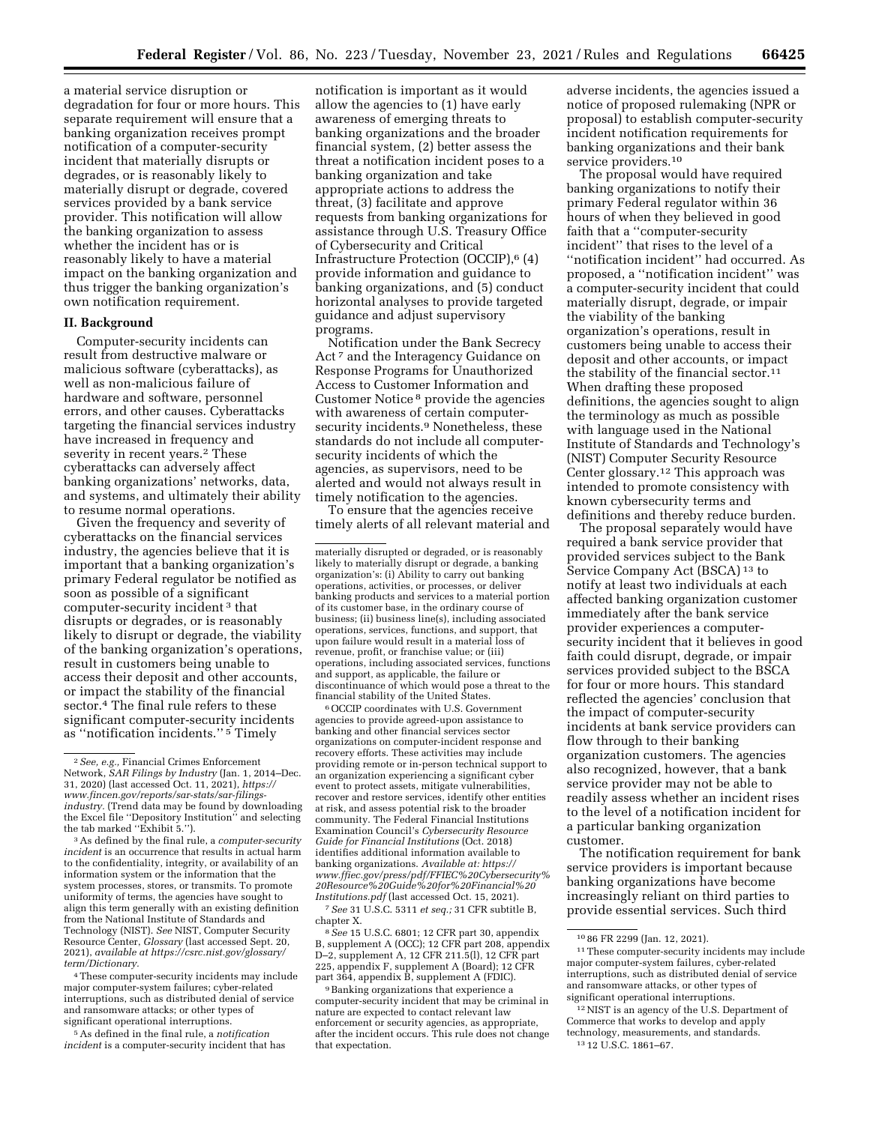a material service disruption or degradation for four or more hours. This separate requirement will ensure that a banking organization receives prompt notification of a computer-security incident that materially disrupts or degrades, or is reasonably likely to materially disrupt or degrade, covered services provided by a bank service provider. This notification will allow the banking organization to assess whether the incident has or is reasonably likely to have a material impact on the banking organization and thus trigger the banking organization's own notification requirement.

### **II. Background**

Computer-security incidents can result from destructive malware or malicious software (cyberattacks), as well as non-malicious failure of hardware and software, personnel errors, and other causes. Cyberattacks targeting the financial services industry have increased in frequency and severity in recent years.<sup>2</sup> These cyberattacks can adversely affect banking organizations' networks, data, and systems, and ultimately their ability to resume normal operations.

Given the frequency and severity of cyberattacks on the financial services industry, the agencies believe that it is important that a banking organization's primary Federal regulator be notified as soon as possible of a significant computer-security incident 3 that disrupts or degrades, or is reasonably likely to disrupt or degrade, the viability of the banking organization's operations, result in customers being unable to access their deposit and other accounts, or impact the stability of the financial sector.<sup>4</sup> The final rule refers to these significant computer-security incidents as ''notification incidents.'' 5 Timely

4These computer-security incidents may include major computer-system failures; cyber-related interruptions, such as distributed denial of service and ransomware attacks; or other types of significant operational interruptions.

5As defined in the final rule, a *notification incident* is a computer-security incident that has

notification is important as it would allow the agencies to (1) have early awareness of emerging threats to banking organizations and the broader financial system, (2) better assess the threat a notification incident poses to a banking organization and take appropriate actions to address the threat, (3) facilitate and approve requests from banking organizations for assistance through U.S. Treasury Office of Cybersecurity and Critical Infrastructure Protection (OCCIP),6 (4) provide information and guidance to banking organizations, and (5) conduct horizontal analyses to provide targeted guidance and adjust supervisory programs.

Notification under the Bank Secrecy Act<sup>7</sup> and the Interagency Guidance on Response Programs for Unauthorized Access to Customer Information and Customer Notice 8 provide the agencies with awareness of certain computersecurity incidents.<sup>9</sup> Nonetheless, these standards do not include all computersecurity incidents of which the agencies, as supervisors, need to be alerted and would not always result in timely notification to the agencies.

To ensure that the agencies receive timely alerts of all relevant material and

materially disrupted or degraded, or is reasonably likely to materially disrupt or degrade, a banking organization's: (i) Ability to carry out banking operations, activities, or processes, or deliver banking products and services to a material portion of its customer base, in the ordinary course of business; (ii) business line(s), including associated operations, services, functions, and support, that upon failure would result in a material loss of revenue, profit, or franchise value; or (iii) operations, including associated services, functions and support, as applicable, the failure or discontinuance of which would pose a threat to the financial stability of the United States.

6OCCIP coordinates with U.S. Government agencies to provide agreed-upon assistance to banking and other financial services sector organizations on computer-incident response and recovery efforts. These activities may include providing remote or in-person technical support to an organization experiencing a significant cyber event to protect assets, mitigate vulnerabilities, recover and restore services, identify other entities at risk, and assess potential risk to the broader community. The Federal Financial Institutions Examination Council's *Cybersecurity Resource Guide for Financial Institutions* (Oct. 2018) identifies additional information available to banking organizations. *Available at: [https://](https://www.ffiec.gov/press/pdf/FFIEC%20Cybersecurity%20Resource%20Guide%20for%20Financial%20Institutions.pdf) [www.ffiec.gov/press/pdf/FFIEC%20Cybersecurity%](https://www.ffiec.gov/press/pdf/FFIEC%20Cybersecurity%20Resource%20Guide%20for%20Financial%20Institutions.pdf) [20Resource%20Guide%20for%20Financial%20](https://www.ffiec.gov/press/pdf/FFIEC%20Cybersecurity%20Resource%20Guide%20for%20Financial%20Institutions.pdf) [Institutions.pdf](https://www.ffiec.gov/press/pdf/FFIEC%20Cybersecurity%20Resource%20Guide%20for%20Financial%20Institutions.pdf)* (last accessed Oct. 15, 2021).

7*See* 31 U.S.C. 5311 *et seq.;* 31 CFR subtitle B,

<sup>8</sup> See 15 U.S.C. 6801; 12 CFR part 30, appendix B, supplement A (OCC); 12 CFR part 208, appendix D–2, supplement A, 12 CFR 211.5(l), 12 CFR part 225, appendix F, supplement A (Board); 12 CFR<br>part 364, appendix B, supplement A (FDIC).

<sup>9</sup> Banking organizations that experience a computer-security incident that may be criminal in nature are expected to contact relevant law enforcement or security agencies, as appropriate, after the incident occurs. This rule does not change that expectation.

adverse incidents, the agencies issued a notice of proposed rulemaking (NPR or proposal) to establish computer-security incident notification requirements for banking organizations and their bank service providers.10

The proposal would have required banking organizations to notify their primary Federal regulator within 36 hours of when they believed in good faith that a ''computer-security incident'' that rises to the level of a ''notification incident'' had occurred. As proposed, a ''notification incident'' was a computer-security incident that could materially disrupt, degrade, or impair the viability of the banking organization's operations, result in customers being unable to access their deposit and other accounts, or impact the stability of the financial sector.11 When drafting these proposed definitions, the agencies sought to align the terminology as much as possible with language used in the National Institute of Standards and Technology's (NIST) Computer Security Resource Center glossary.12 This approach was intended to promote consistency with known cybersecurity terms and definitions and thereby reduce burden.

The proposal separately would have required a bank service provider that provided services subject to the Bank Service Company Act (BSCA) 13 to notify at least two individuals at each affected banking organization customer immediately after the bank service provider experiences a computersecurity incident that it believes in good faith could disrupt, degrade, or impair services provided subject to the BSCA for four or more hours. This standard reflected the agencies' conclusion that the impact of computer-security incidents at bank service providers can flow through to their banking organization customers. The agencies also recognized, however, that a bank service provider may not be able to readily assess whether an incident rises to the level of a notification incident for a particular banking organization customer.

The notification requirement for bank service providers is important because banking organizations have become increasingly reliant on third parties to provide essential services. Such third

<sup>2</sup>*See, e.g.,* Financial Crimes Enforcement Network, *SAR Filings by Industry* (Jan. 1, 2014–Dec. 31, 2020) (last accessed Oct. 11, 2021), *[https://](https://www.fincen.gov/reports/sar-stats/sar-filings-industry) [www.fincen.gov/reports/sar-stats/sar-filings](https://www.fincen.gov/reports/sar-stats/sar-filings-industry)[industry.](https://www.fincen.gov/reports/sar-stats/sar-filings-industry)* (Trend data may be found by downloading the Excel file ''Depository Institution'' and selecting the tab marked ''Exhibit 5.'').

<sup>3</sup>As defined by the final rule, a *computer-security incident* is an occurrence that results in actual harm to the confidentiality, integrity, or availability of an information system or the information that the system processes, stores, or transmits. To promote uniformity of terms, the agencies have sought to align this term generally with an existing definition from the National Institute of Standards and Technology (NIST). *See* NIST, Computer Security Resource Center, *Glossary* (last accessed Sept. 20, 2021), *available at [https://csrc.nist.gov/glossary/](https://csrc.nist.gov/glossary/term/Dictionary) [term/Dictionary.](https://csrc.nist.gov/glossary/term/Dictionary)* 

<sup>10</sup> 86 FR 2299 (Jan. 12, 2021).

<sup>11</sup>These computer-security incidents may include major computer-system failures, cyber-related interruptions, such as distributed denial of service and ransomware attacks, or other types of significant operational interruptions.

<sup>12</sup>NIST is an agency of the U.S. Department of Commerce that works to develop and apply technology, measurements, and standards. 13 12 U.S.C. 1861–67.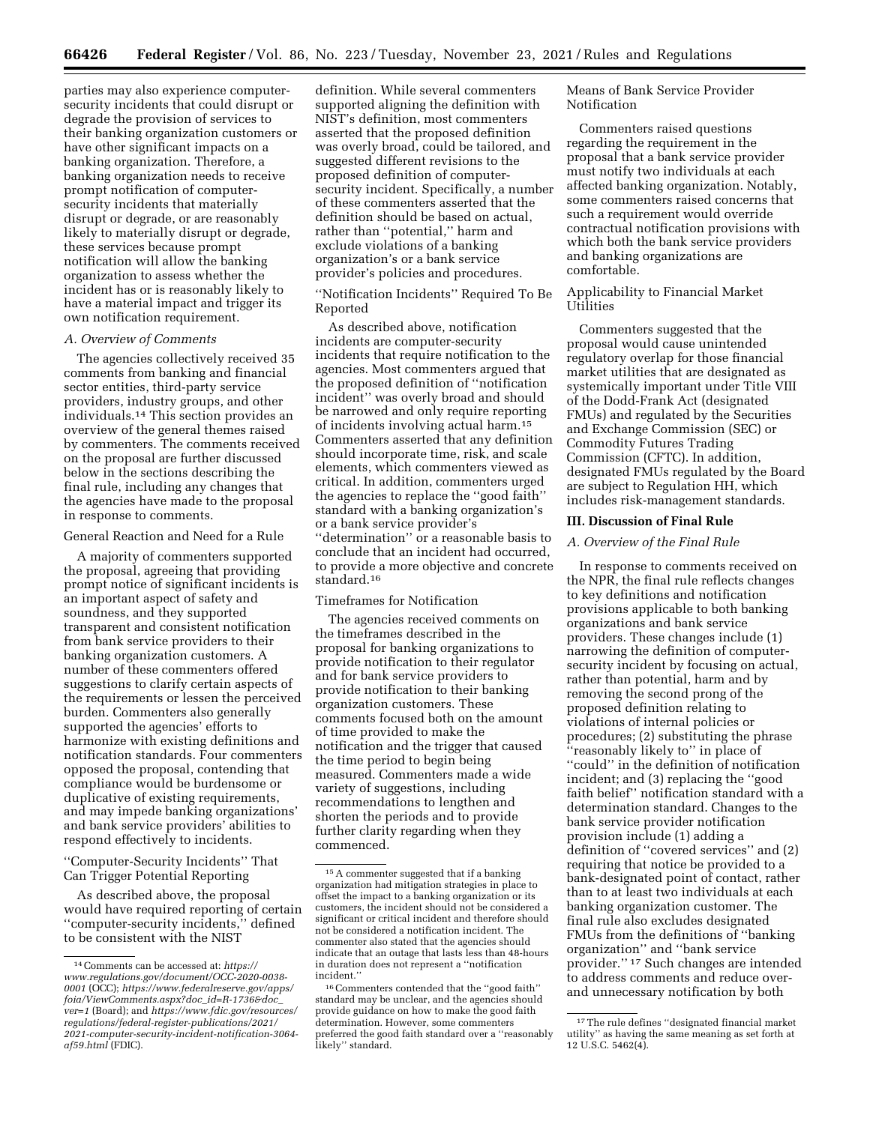parties may also experience computersecurity incidents that could disrupt or degrade the provision of services to their banking organization customers or have other significant impacts on a banking organization. Therefore, a banking organization needs to receive prompt notification of computersecurity incidents that materially disrupt or degrade, or are reasonably likely to materially disrupt or degrade, these services because prompt notification will allow the banking organization to assess whether the incident has or is reasonably likely to have a material impact and trigger its own notification requirement.

#### *A. Overview of Comments*

The agencies collectively received 35 comments from banking and financial sector entities, third-party service providers, industry groups, and other individuals.14 This section provides an overview of the general themes raised by commenters. The comments received on the proposal are further discussed below in the sections describing the final rule, including any changes that the agencies have made to the proposal in response to comments.

General Reaction and Need for a Rule

A majority of commenters supported the proposal, agreeing that providing prompt notice of significant incidents is an important aspect of safety and soundness, and they supported transparent and consistent notification from bank service providers to their banking organization customers. A number of these commenters offered suggestions to clarify certain aspects of the requirements or lessen the perceived burden. Commenters also generally supported the agencies' efforts to harmonize with existing definitions and notification standards. Four commenters opposed the proposal, contending that compliance would be burdensome or duplicative of existing requirements, and may impede banking organizations' and bank service providers' abilities to respond effectively to incidents.

''Computer-Security Incidents'' That Can Trigger Potential Reporting

As described above, the proposal would have required reporting of certain ''computer-security incidents,'' defined to be consistent with the NIST

definition. While several commenters supported aligning the definition with NIST's definition, most commenters asserted that the proposed definition was overly broad, could be tailored, and suggested different revisions to the proposed definition of computersecurity incident. Specifically, a number of these commenters asserted that the definition should be based on actual, rather than ''potential,'' harm and exclude violations of a banking organization's or a bank service provider's policies and procedures.

''Notification Incidents'' Required To Be Reported

As described above, notification incidents are computer-security incidents that require notification to the agencies. Most commenters argued that the proposed definition of ''notification incident'' was overly broad and should be narrowed and only require reporting of incidents involving actual harm.15 Commenters asserted that any definition should incorporate time, risk, and scale elements, which commenters viewed as critical. In addition, commenters urged the agencies to replace the ''good faith'' standard with a banking organization's or a bank service provider's ''determination'' or a reasonable basis to conclude that an incident had occurred, to provide a more objective and concrete standard.16

### Timeframes for Notification

The agencies received comments on the timeframes described in the proposal for banking organizations to provide notification to their regulator and for bank service providers to provide notification to their banking organization customers. These comments focused both on the amount of time provided to make the notification and the trigger that caused the time period to begin being measured. Commenters made a wide variety of suggestions, including recommendations to lengthen and shorten the periods and to provide further clarity regarding when they commenced.

Means of Bank Service Provider Notification

Commenters raised questions regarding the requirement in the proposal that a bank service provider must notify two individuals at each affected banking organization. Notably, some commenters raised concerns that such a requirement would override contractual notification provisions with which both the bank service providers and banking organizations are comfortable.

## Applicability to Financial Market Utilities

Commenters suggested that the proposal would cause unintended regulatory overlap for those financial market utilities that are designated as systemically important under Title VIII of the Dodd-Frank Act (designated FMUs) and regulated by the Securities and Exchange Commission (SEC) or Commodity Futures Trading Commission (CFTC). In addition, designated FMUs regulated by the Board are subject to Regulation HH, which includes risk-management standards.

## **III. Discussion of Final Rule**

### *A. Overview of the Final Rule*

In response to comments received on the NPR, the final rule reflects changes to key definitions and notification provisions applicable to both banking organizations and bank service providers. These changes include (1) narrowing the definition of computersecurity incident by focusing on actual, rather than potential, harm and by removing the second prong of the proposed definition relating to violations of internal policies or procedures; (2) substituting the phrase ''reasonably likely to'' in place of ''could'' in the definition of notification incident; and (3) replacing the ''good faith belief'' notification standard with a determination standard. Changes to the bank service provider notification provision include (1) adding a definition of ''covered services'' and (2) requiring that notice be provided to a bank-designated point of contact, rather than to at least two individuals at each banking organization customer. The final rule also excludes designated FMUs from the definitions of ''banking organization'' and ''bank service provider.'' 17 Such changes are intended to address comments and reduce overand unnecessary notification by both

<sup>14</sup>Comments can be accessed at: *[https://](https://www.regulations.gov/document/OCC-2020-0038-0001) [www.regulations.gov/document/OCC-2020-0038-](https://www.regulations.gov/document/OCC-2020-0038-0001) [0001](https://www.regulations.gov/document/OCC-2020-0038-0001)* (OCC); *[https://www.federalreserve.gov/apps/](https://www.federalreserve.gov/apps/foia/ViewComments.aspx?doc_id=R-1736&doc_ver=1)  [foia/ViewComments.aspx?doc](https://www.federalreserve.gov/apps/foia/ViewComments.aspx?doc_id=R-1736&doc_ver=1)*\_*id=R-1736&doc*\_ *[ver=1](https://www.federalreserve.gov/apps/foia/ViewComments.aspx?doc_id=R-1736&doc_ver=1)* (Board); and *[https://www.fdic.gov/resources/](https://www.fdic.gov/resources/regulations/federal-register-publications/2021/2021-computer-security-incident-notification-3064-af59.html) [regulations/federal-register-publications/2021/](https://www.fdic.gov/resources/regulations/federal-register-publications/2021/2021-computer-security-incident-notification-3064-af59.html) [2021-computer-security-incident-notification-3064](https://www.fdic.gov/resources/regulations/federal-register-publications/2021/2021-computer-security-incident-notification-3064-af59.html) [af59.html](https://www.fdic.gov/resources/regulations/federal-register-publications/2021/2021-computer-security-incident-notification-3064-af59.html)* (FDIC).

<sup>15</sup>A commenter suggested that if a banking organization had mitigation strategies in place to offset the impact to a banking organization or its customers, the incident should not be considered a significant or critical incident and therefore should not be considered a notification incident. The commenter also stated that the agencies should indicate that an outage that lasts less than 48-hours in duration does not represent a ''notification incident.''

<sup>16</sup>Commenters contended that the ''good faith'' standard may be unclear, and the agencies should provide guidance on how to make the good faith determination. However, some commenters preferred the good faith standard over a ''reasonably likely'' standard.

<sup>17</sup>The rule defines ''designated financial market utility'' as having the same meaning as set forth at 12 U.S.C. 5462(4).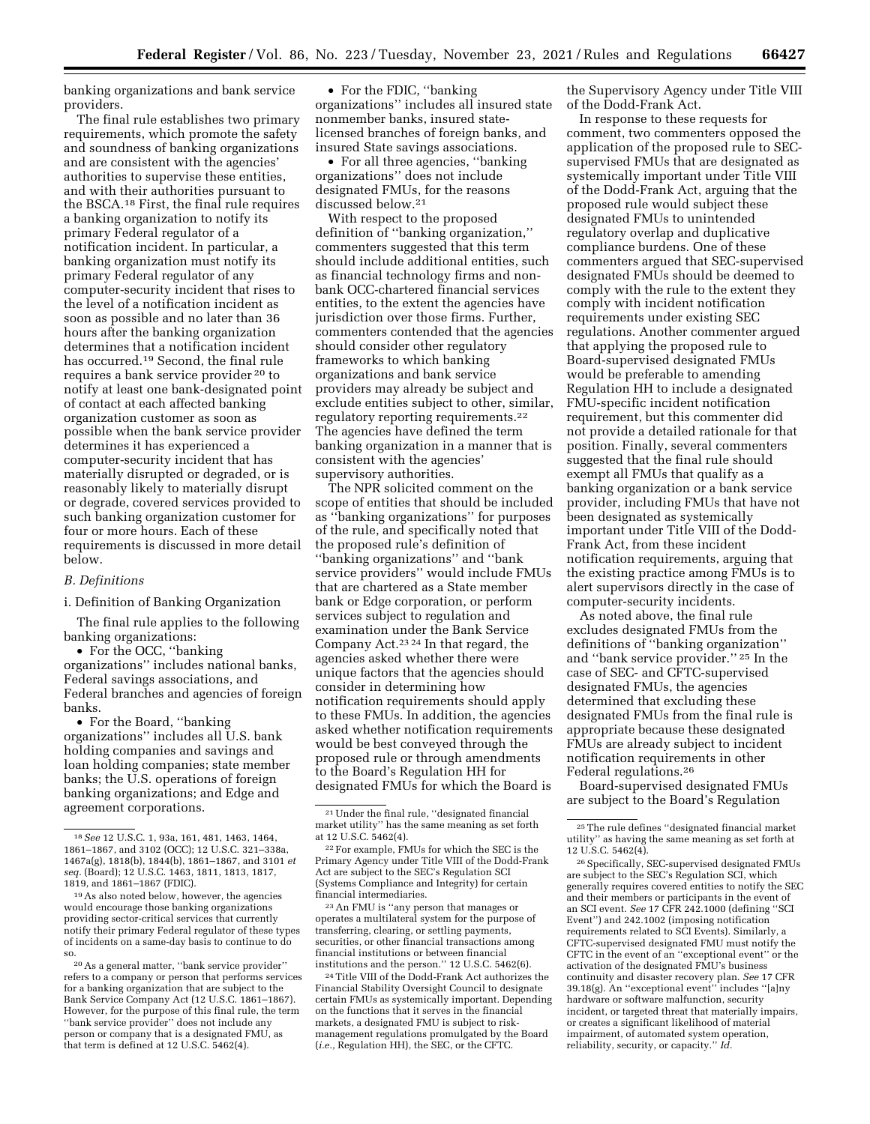banking organizations and bank service providers.

The final rule establishes two primary requirements, which promote the safety and soundness of banking organizations and are consistent with the agencies' authorities to supervise these entities, and with their authorities pursuant to the BSCA.18 First, the final rule requires a banking organization to notify its primary Federal regulator of a notification incident. In particular, a banking organization must notify its primary Federal regulator of any computer-security incident that rises to the level of a notification incident as soon as possible and no later than 36 hours after the banking organization determines that a notification incident has occurred.19 Second, the final rule requires a bank service provider 20 to notify at least one bank-designated point of contact at each affected banking organization customer as soon as possible when the bank service provider determines it has experienced a computer-security incident that has materially disrupted or degraded, or is reasonably likely to materially disrupt or degrade, covered services provided to such banking organization customer for four or more hours. Each of these requirements is discussed in more detail below.

### *B. Definitions*

i. Definition of Banking Organization

The final rule applies to the following banking organizations:

• For the OCC, "banking" organizations'' includes national banks, Federal savings associations, and Federal branches and agencies of foreign banks.

• For the Board, "banking" organizations'' includes all U.S. bank holding companies and savings and loan holding companies; state member banks; the U.S. operations of foreign banking organizations; and Edge and agreement corporations.

• For the FDIC, ''banking organizations'' includes all insured state nonmember banks, insured statelicensed branches of foreign banks, and insured State savings associations.

• For all three agencies, ''banking organizations'' does not include designated FMUs, for the reasons discussed below.21

With respect to the proposed definition of ''banking organization,'' commenters suggested that this term should include additional entities, such as financial technology firms and nonbank OCC-chartered financial services entities, to the extent the agencies have jurisdiction over those firms. Further, commenters contended that the agencies should consider other regulatory frameworks to which banking organizations and bank service providers may already be subject and exclude entities subject to other, similar, regulatory reporting requirements.22 The agencies have defined the term banking organization in a manner that is consistent with the agencies' supervisory authorities.

The NPR solicited comment on the scope of entities that should be included as ''banking organizations'' for purposes of the rule, and specifically noted that the proposed rule's definition of ''banking organizations'' and ''bank service providers'' would include FMUs that are chartered as a State member bank or Edge corporation, or perform services subject to regulation and examination under the Bank Service Company Act.23 24 In that regard, the agencies asked whether there were unique factors that the agencies should consider in determining how notification requirements should apply to these FMUs. In addition, the agencies asked whether notification requirements would be best conveyed through the proposed rule or through amendments to the Board's Regulation HH for designated FMUs for which the Board is

23An FMU is ''any person that manages or operates a multilateral system for the purpose of transferring, clearing, or settling payments, securities, or other financial transactions among financial institutions or between financial institutions and the person.'' 12 U.S.C. 5462(6).

24Title VIII of the Dodd-Frank Act authorizes the Financial Stability Oversight Council to designate certain FMUs as systemically important. Depending on the functions that it serves in the financial markets, a designated FMU is subject to riskmanagement regulations promulgated by the Board (*i.e.,* Regulation HH), the SEC, or the CFTC.

the Supervisory Agency under Title VIII of the Dodd-Frank Act.

In response to these requests for comment, two commenters opposed the application of the proposed rule to SECsupervised FMUs that are designated as systemically important under Title VIII of the Dodd-Frank Act, arguing that the proposed rule would subject these designated FMUs to unintended regulatory overlap and duplicative compliance burdens. One of these commenters argued that SEC-supervised designated FMUs should be deemed to comply with the rule to the extent they comply with incident notification requirements under existing SEC regulations. Another commenter argued that applying the proposed rule to Board-supervised designated FMUs would be preferable to amending Regulation HH to include a designated FMU-specific incident notification requirement, but this commenter did not provide a detailed rationale for that position. Finally, several commenters suggested that the final rule should exempt all FMUs that qualify as a banking organization or a bank service provider, including FMUs that have not been designated as systemically important under Title VIII of the Dodd-Frank Act, from these incident notification requirements, arguing that the existing practice among FMUs is to alert supervisors directly in the case of computer-security incidents.

As noted above, the final rule excludes designated FMUs from the definitions of ''banking organization'' and ''bank service provider.'' 25 In the case of SEC- and CFTC-supervised designated FMUs, the agencies determined that excluding these designated FMUs from the final rule is appropriate because these designated FMUs are already subject to incident notification requirements in other Federal regulations.26

Board-supervised designated FMUs are subject to the Board's Regulation

<sup>18</sup>*See* 12 U.S.C. 1, 93a, 161, 481, 1463, 1464, 1861–1867, and 3102 (OCC); 12 U.S.C. 321–338a, 1467a(g), 1818(b), 1844(b), 1861–1867, and 3101 *et seq.* (Board); 12 U.S.C. 1463, 1811, 1813, 1817, 1819, and 1861–1867 (FDIC).

<sup>19</sup>As also noted below, however, the agencies would encourage those banking organizations providing sector-critical services that currently notify their primary Federal regulator of these types of incidents on a same-day basis to continue to do so.

<sup>20</sup>As a general matter, ''bank service provider'' refers to a company or person that performs services for a banking organization that are subject to the Bank Service Company Act (12 U.S.C. 1861–1867). However, for the purpose of this final rule, the term ''bank service provider'' does not include any person or company that is a designated FMU, as that term is defined at 12 U.S.C. 5462(4).

<sup>21</sup>Under the final rule, ''designated financial market utility'' has the same meaning as set forth at 12 U.S.C. 5462(4).

<sup>22</sup>For example, FMUs for which the SEC is the Primary Agency under Title VIII of the Dodd-Frank Act are subject to the SEC's Regulation SCI (Systems Compliance and Integrity) for certain financial intermediaries.

<sup>25</sup>The rule defines ''designated financial market utility'' as having the same meaning as set forth at 12 U.S.C. 5462(4).

<sup>26</sup>Specifically, SEC-supervised designated FMUs are subject to the SEC's Regulation SCI, which generally requires covered entities to notify the SEC and their members or participants in the event of an SCI event. *See* 17 CFR 242.1000 (defining ''SCI Event'') and 242.1002 (imposing notification requirements related to SCI Events). Similarly, a CFTC-supervised designated FMU must notify the CFTC in the event of an ''exceptional event'' or the activation of the designated FMU's business continuity and disaster recovery plan. *See* 17 CFR 39.18(g). An ''exceptional event'' includes ''[a]ny hardware or software malfunction, security incident, or targeted threat that materially impairs, or creates a significant likelihood of material impairment, of automated system operation, reliability, security, or capacity.'' *Id.*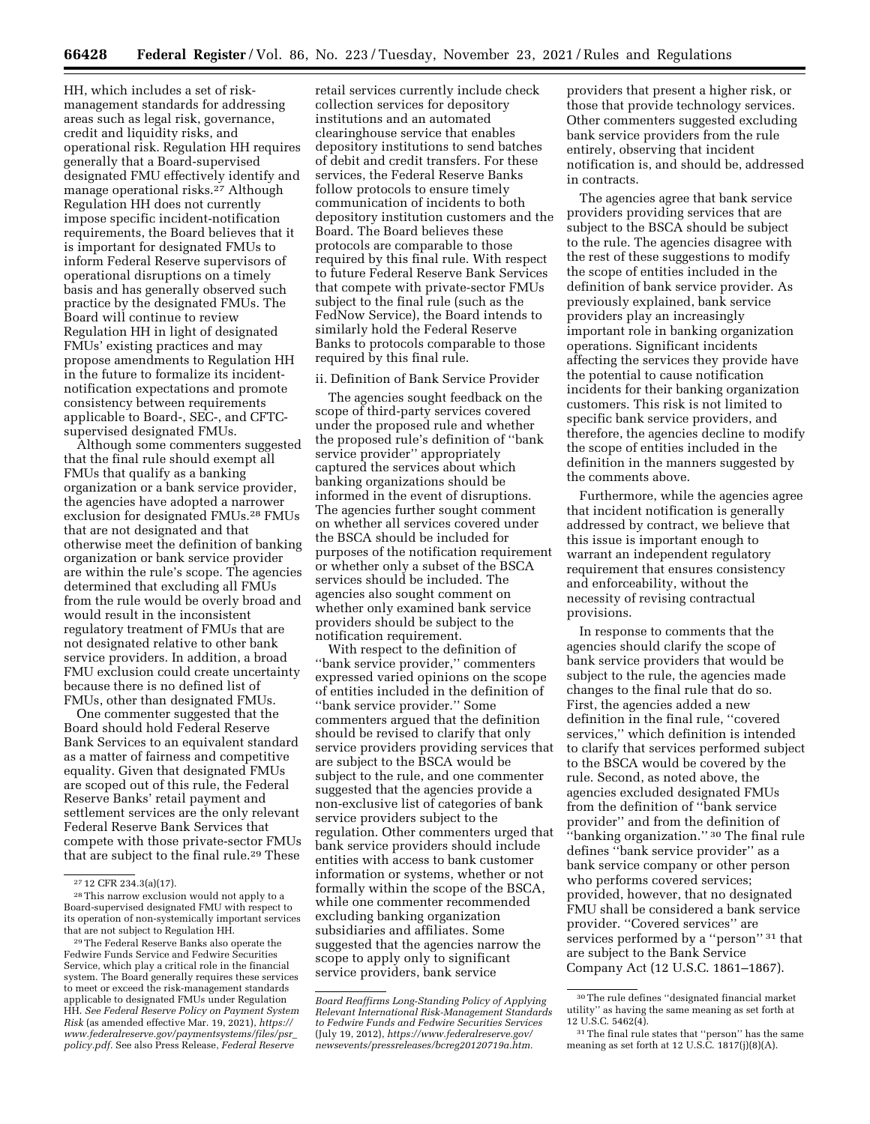HH, which includes a set of riskmanagement standards for addressing areas such as legal risk, governance, credit and liquidity risks, and operational risk. Regulation HH requires generally that a Board-supervised designated FMU effectively identify and manage operational risks.27 Although Regulation HH does not currently impose specific incident-notification requirements, the Board believes that it is important for designated FMUs to inform Federal Reserve supervisors of operational disruptions on a timely basis and has generally observed such practice by the designated FMUs. The Board will continue to review Regulation HH in light of designated FMUs' existing practices and may propose amendments to Regulation HH in the future to formalize its incidentnotification expectations and promote consistency between requirements applicable to Board-, SEC-, and CFTCsupervised designated FMUs.

Although some commenters suggested that the final rule should exempt all FMUs that qualify as a banking organization or a bank service provider, the agencies have adopted a narrower exclusion for designated FMUs.<sup>28</sup> FMUs that are not designated and that otherwise meet the definition of banking organization or bank service provider are within the rule's scope. The agencies determined that excluding all FMUs from the rule would be overly broad and would result in the inconsistent regulatory treatment of FMUs that are not designated relative to other bank service providers. In addition, a broad FMU exclusion could create uncertainty because there is no defined list of FMUs, other than designated FMUs.

One commenter suggested that the Board should hold Federal Reserve Bank Services to an equivalent standard as a matter of fairness and competitive equality. Given that designated FMUs are scoped out of this rule, the Federal Reserve Banks' retail payment and settlement services are the only relevant Federal Reserve Bank Services that compete with those private-sector FMUs that are subject to the final rule.29 These

29The Federal Reserve Banks also operate the Fedwire Funds Service and Fedwire Securities Service, which play a critical role in the financial system. The Board generally requires these services to meet or exceed the risk-management standards applicable to designated FMUs under Regulation HH. *See Federal Reserve Policy on Payment System Risk* (as amended effective Mar. 19, 2021), *[https://](https://www.federalreserve.gov/paymentsystems/files/psr_policy.pdf) [www.federalreserve.gov/paymentsystems/files/psr](https://www.federalreserve.gov/paymentsystems/files/psr_policy.pdf)*\_ *[policy.pdf.](https://www.federalreserve.gov/paymentsystems/files/psr_policy.pdf)* See also Press Release, *Federal Reserve* 

retail services currently include check collection services for depository institutions and an automated clearinghouse service that enables depository institutions to send batches of debit and credit transfers. For these services, the Federal Reserve Banks follow protocols to ensure timely communication of incidents to both depository institution customers and the Board. The Board believes these protocols are comparable to those required by this final rule. With respect to future Federal Reserve Bank Services that compete with private-sector FMUs subject to the final rule (such as the FedNow Service), the Board intends to similarly hold the Federal Reserve Banks to protocols comparable to those required by this final rule.

### ii. Definition of Bank Service Provider

The agencies sought feedback on the scope of third-party services covered under the proposed rule and whether the proposed rule's definition of ''bank service provider'' appropriately captured the services about which banking organizations should be informed in the event of disruptions. The agencies further sought comment on whether all services covered under the BSCA should be included for purposes of the notification requirement or whether only a subset of the BSCA services should be included. The agencies also sought comment on whether only examined bank service providers should be subject to the notification requirement.

With respect to the definition of ''bank service provider,'' commenters expressed varied opinions on the scope of entities included in the definition of ''bank service provider.'' Some commenters argued that the definition should be revised to clarify that only service providers providing services that are subject to the BSCA would be subject to the rule, and one commenter suggested that the agencies provide a non-exclusive list of categories of bank service providers subject to the regulation. Other commenters urged that bank service providers should include entities with access to bank customer information or systems, whether or not formally within the scope of the BSCA, while one commenter recommended excluding banking organization subsidiaries and affiliates. Some suggested that the agencies narrow the scope to apply only to significant service providers, bank service

providers that present a higher risk, or those that provide technology services. Other commenters suggested excluding bank service providers from the rule entirely, observing that incident notification is, and should be, addressed in contracts.

The agencies agree that bank service providers providing services that are subject to the BSCA should be subject to the rule. The agencies disagree with the rest of these suggestions to modify the scope of entities included in the definition of bank service provider. As previously explained, bank service providers play an increasingly important role in banking organization operations. Significant incidents affecting the services they provide have the potential to cause notification incidents for their banking organization customers. This risk is not limited to specific bank service providers, and therefore, the agencies decline to modify the scope of entities included in the definition in the manners suggested by the comments above.

Furthermore, while the agencies agree that incident notification is generally addressed by contract, we believe that this issue is important enough to warrant an independent regulatory requirement that ensures consistency and enforceability, without the necessity of revising contractual provisions.

In response to comments that the agencies should clarify the scope of bank service providers that would be subject to the rule, the agencies made changes to the final rule that do so. First, the agencies added a new definition in the final rule, ''covered services,'' which definition is intended to clarify that services performed subject to the BSCA would be covered by the rule. Second, as noted above, the agencies excluded designated FMUs from the definition of ''bank service provider'' and from the definition of ''banking organization.'' 30 The final rule defines ''bank service provider'' as a bank service company or other person who performs covered services; provided, however, that no designated FMU shall be considered a bank service provider. ''Covered services'' are services performed by a "person"<sup>31</sup> that are subject to the Bank Service Company Act (12 U.S.C. 1861–1867).

<sup>27</sup> 12 CFR 234.3(a)(17).

<sup>28</sup>This narrow exclusion would not apply to a Board-supervised designated FMU with respect to its operation of non-systemically important services that are not subject to Regulation HH.

*Board Reaffirms Long-Standing Policy of Applying Relevant International Risk-Management Standards to Fedwire Funds and Fedwire Securities Services*  (July 19, 2012), *[https://www.federalreserve.gov/](https://www.federalreserve.gov/newsevents/pressreleases/bcreg20120719a.htm)  [newsevents/pressreleases/bcreg20120719a.htm.](https://www.federalreserve.gov/newsevents/pressreleases/bcreg20120719a.htm)* 

<sup>30</sup>The rule defines ''designated financial market utility'' as having the same meaning as set forth at 12 U.S.C. 5462(4).

<sup>31</sup>The final rule states that ''person'' has the same meaning as set forth at 12 U.S.C. 1817(j)(8)(A).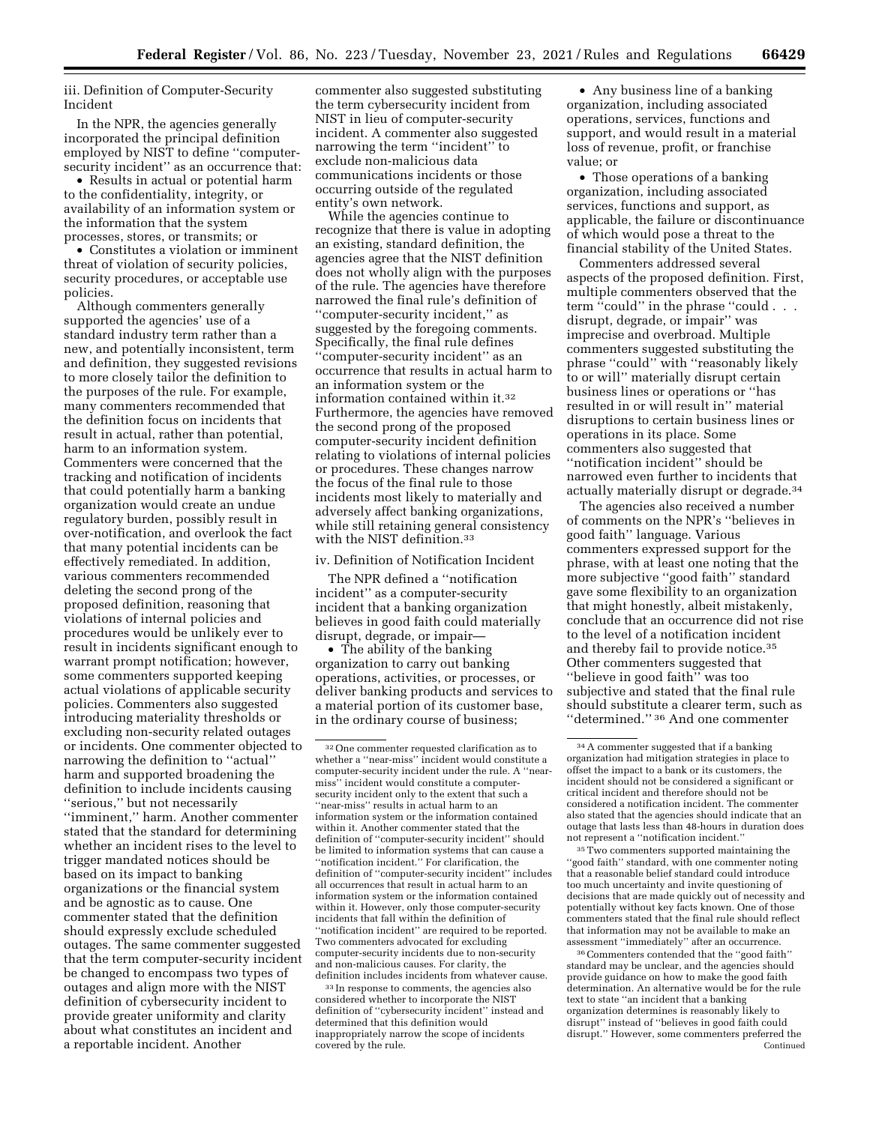iii. Definition of Computer-Security Incident

In the NPR, the agencies generally incorporated the principal definition employed by NIST to define ''computersecurity incident'' as an occurrence that:

• Results in actual or potential harm to the confidentiality, integrity, or availability of an information system or the information that the system processes, stores, or transmits; or

• Constitutes a violation or imminent threat of violation of security policies, security procedures, or acceptable use policies.

Although commenters generally supported the agencies' use of a standard industry term rather than a new, and potentially inconsistent, term and definition, they suggested revisions to more closely tailor the definition to the purposes of the rule. For example, many commenters recommended that the definition focus on incidents that result in actual, rather than potential, harm to an information system. Commenters were concerned that the tracking and notification of incidents that could potentially harm a banking organization would create an undue regulatory burden, possibly result in over-notification, and overlook the fact that many potential incidents can be effectively remediated. In addition, various commenters recommended deleting the second prong of the proposed definition, reasoning that violations of internal policies and procedures would be unlikely ever to result in incidents significant enough to warrant prompt notification; however, some commenters supported keeping actual violations of applicable security policies. Commenters also suggested introducing materiality thresholds or excluding non-security related outages or incidents. One commenter objected to narrowing the definition to ''actual'' harm and supported broadening the definition to include incidents causing ''serious,'' but not necessarily ''imminent,'' harm. Another commenter stated that the standard for determining whether an incident rises to the level to trigger mandated notices should be based on its impact to banking organizations or the financial system and be agnostic as to cause. One commenter stated that the definition should expressly exclude scheduled outages. The same commenter suggested that the term computer-security incident be changed to encompass two types of outages and align more with the NIST definition of cybersecurity incident to provide greater uniformity and clarity about what constitutes an incident and a reportable incident. Another

commenter also suggested substituting the term cybersecurity incident from NIST in lieu of computer-security incident. A commenter also suggested narrowing the term ''incident'' to exclude non-malicious data communications incidents or those occurring outside of the regulated entity's own network.

While the agencies continue to recognize that there is value in adopting an existing, standard definition, the agencies agree that the NIST definition does not wholly align with the purposes of the rule. The agencies have therefore narrowed the final rule's definition of ''computer-security incident,'' as suggested by the foregoing comments. Specifically, the final rule defines ''computer-security incident'' as an occurrence that results in actual harm to an information system or the information contained within it.32 Furthermore, the agencies have removed the second prong of the proposed computer-security incident definition relating to violations of internal policies or procedures. These changes narrow the focus of the final rule to those incidents most likely to materially and adversely affect banking organizations, while still retaining general consistency with the NIST definition.33

## iv. Definition of Notification Incident

The NPR defined a ''notification incident'' as a computer-security incident that a banking organization believes in good faith could materially disrupt, degrade, or impair—

• The ability of the banking organization to carry out banking operations, activities, or processes, or deliver banking products and services to a material portion of its customer base, in the ordinary course of business;

33 In response to comments, the agencies also considered whether to incorporate the NIST definition of ''cybersecurity incident'' instead and determined that this definition would inappropriately narrow the scope of incidents covered by the rule.

• Any business line of a banking organization, including associated operations, services, functions and support, and would result in a material loss of revenue, profit, or franchise value; or

• Those operations of a banking organization, including associated services, functions and support, as applicable, the failure or discontinuance of which would pose a threat to the financial stability of the United States.

Commenters addressed several aspects of the proposed definition. First, multiple commenters observed that the term ''could'' in the phrase ''could . . . disrupt, degrade, or impair'' was imprecise and overbroad. Multiple commenters suggested substituting the phrase ''could'' with ''reasonably likely to or will'' materially disrupt certain business lines or operations or ''has resulted in or will result in'' material disruptions to certain business lines or operations in its place. Some commenters also suggested that ''notification incident'' should be narrowed even further to incidents that actually materially disrupt or degrade.34

The agencies also received a number of comments on the NPR's ''believes in good faith'' language. Various commenters expressed support for the phrase, with at least one noting that the more subjective ''good faith'' standard gave some flexibility to an organization that might honestly, albeit mistakenly, conclude that an occurrence did not rise to the level of a notification incident and thereby fail to provide notice.35 Other commenters suggested that ''believe in good faith'' was too subjective and stated that the final rule should substitute a clearer term, such as ''determined.'' 36 And one commenter

35Two commenters supported maintaining the ''good faith'' standard, with one commenter noting that a reasonable belief standard could introduce too much uncertainty and invite questioning of decisions that are made quickly out of necessity and potentially without key facts known. One of those commenters stated that the final rule should reflect that information may not be available to make an assessment ''immediately'' after an occurrence.

36Commenters contended that the ''good faith'' standard may be unclear, and the agencies should provide guidance on how to make the good faith determination. An alternative would be for the rule text to state ''an incident that a banking organization determines is reasonably likely to disrupt'' instead of ''believes in good faith could disrupt.'' However, some commenters preferred the Continued

<sup>32</sup>One commenter requested clarification as to whether a ''near-miss'' incident would constitute a computer-security incident under the rule. A ''nearmiss'' incident would constitute a computersecurity incident only to the extent that such a ''near-miss'' results in actual harm to an information system or the information contained within it. Another commenter stated that the definition of ''computer-security incident'' should be limited to information systems that can cause a ''notification incident.'' For clarification, the definition of ''computer-security incident'' includes all occurrences that result in actual harm to an information system or the information contained within it. However, only those computer-security incidents that fall within the definition of 'notification incident'' are required to be reported. Two commenters advocated for excluding computer-security incidents due to non-security and non-malicious causes. For clarity, the definition includes incidents from whatever cause.

<sup>34</sup>A commenter suggested that if a banking organization had mitigation strategies in place to offset the impact to a bank or its customers, the incident should not be considered a significant or critical incident and therefore should not be considered a notification incident. The commenter also stated that the agencies should indicate that an outage that lasts less than 48-hours in duration does not represent a ''notification incident.''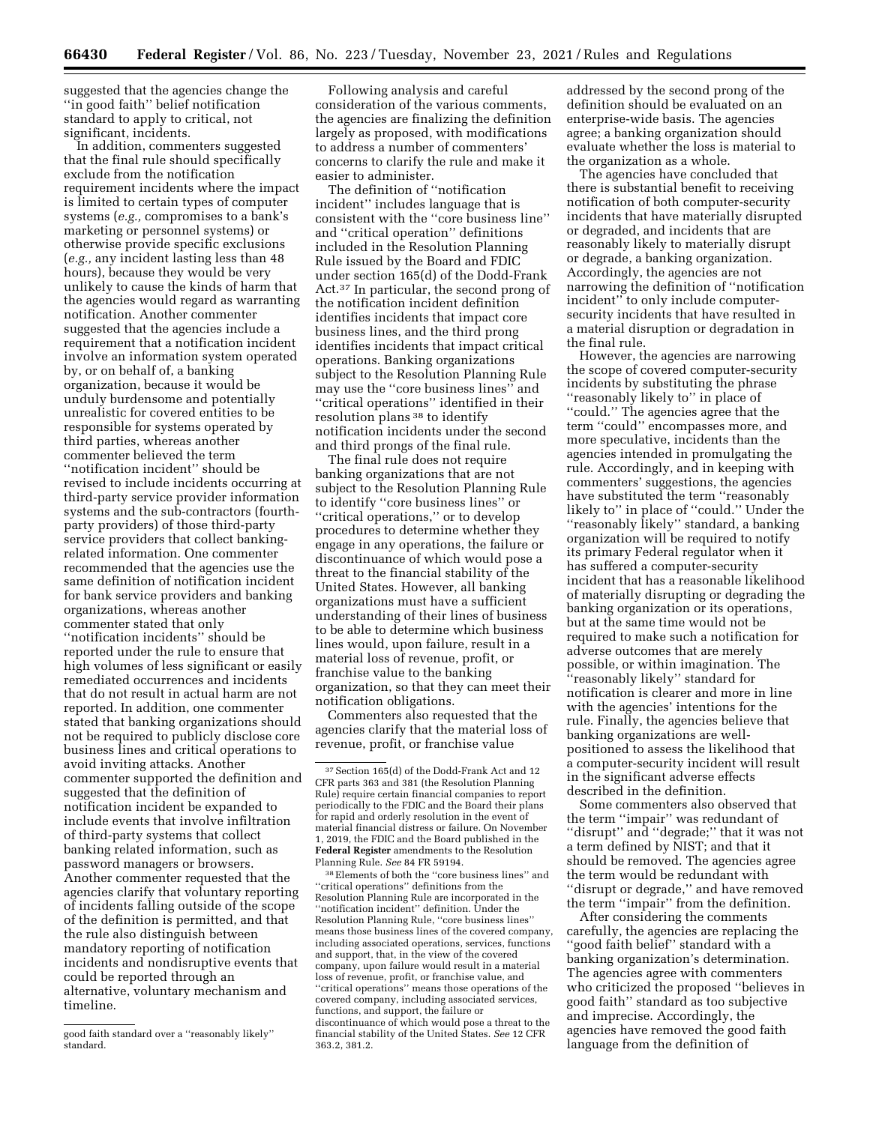suggested that the agencies change the ''in good faith'' belief notification standard to apply to critical, not significant, incidents.

In addition, commenters suggested that the final rule should specifically exclude from the notification requirement incidents where the impact is limited to certain types of computer systems (*e.g.,* compromises to a bank's marketing or personnel systems) or otherwise provide specific exclusions (*e.g.,* any incident lasting less than 48 hours), because they would be very unlikely to cause the kinds of harm that the agencies would regard as warranting notification. Another commenter suggested that the agencies include a requirement that a notification incident involve an information system operated by, or on behalf of, a banking organization, because it would be unduly burdensome and potentially unrealistic for covered entities to be responsible for systems operated by third parties, whereas another commenter believed the term ''notification incident'' should be revised to include incidents occurring at third-party service provider information systems and the sub-contractors (fourthparty providers) of those third-party service providers that collect bankingrelated information. One commenter recommended that the agencies use the same definition of notification incident for bank service providers and banking organizations, whereas another commenter stated that only ''notification incidents'' should be reported under the rule to ensure that high volumes of less significant or easily remediated occurrences and incidents that do not result in actual harm are not reported. In addition, one commenter stated that banking organizations should not be required to publicly disclose core business lines and critical operations to avoid inviting attacks. Another commenter supported the definition and suggested that the definition of notification incident be expanded to include events that involve infiltration of third-party systems that collect banking related information, such as password managers or browsers. Another commenter requested that the agencies clarify that voluntary reporting of incidents falling outside of the scope of the definition is permitted, and that the rule also distinguish between mandatory reporting of notification incidents and nondisruptive events that could be reported through an alternative, voluntary mechanism and timeline.

Following analysis and careful consideration of the various comments, the agencies are finalizing the definition largely as proposed, with modifications to address a number of commenters' concerns to clarify the rule and make it easier to administer.

The definition of ''notification incident'' includes language that is consistent with the ''core business line'' and ''critical operation'' definitions included in the Resolution Planning Rule issued by the Board and FDIC under section 165(d) of the Dodd-Frank Act.37 In particular, the second prong of the notification incident definition identifies incidents that impact core business lines, and the third prong identifies incidents that impact critical operations. Banking organizations subject to the Resolution Planning Rule may use the ''core business lines'' and ''critical operations'' identified in their resolution plans 38 to identify notification incidents under the second and third prongs of the final rule.

The final rule does not require banking organizations that are not subject to the Resolution Planning Rule to identify ''core business lines'' or ''critical operations,'' or to develop procedures to determine whether they engage in any operations, the failure or discontinuance of which would pose a threat to the financial stability of the United States. However, all banking organizations must have a sufficient understanding of their lines of business to be able to determine which business lines would, upon failure, result in a material loss of revenue, profit, or franchise value to the banking organization, so that they can meet their notification obligations.

Commenters also requested that the agencies clarify that the material loss of revenue, profit, or franchise value

38Elements of both the ''core business lines'' and ''critical operations'' definitions from the Resolution Planning Rule are incorporated in the ''notification incident'' definition. Under the Resolution Planning Rule, ''core business lines'' means those business lines of the covered company, including associated operations, services, functions and support, that, in the view of the covered company, upon failure would result in a material loss of revenue, profit, or franchise value, and ''critical operations'' means those operations of the covered company, including associated services, functions, and support, the failure or discontinuance of which would pose a threat to the financial stability of the United States. *See* 12 CFR 363.2, 381.2.

addressed by the second prong of the definition should be evaluated on an enterprise-wide basis. The agencies agree; a banking organization should evaluate whether the loss is material to the organization as a whole.

The agencies have concluded that there is substantial benefit to receiving notification of both computer-security incidents that have materially disrupted or degraded, and incidents that are reasonably likely to materially disrupt or degrade, a banking organization. Accordingly, the agencies are not narrowing the definition of ''notification incident'' to only include computersecurity incidents that have resulted in a material disruption or degradation in the final rule.

However, the agencies are narrowing the scope of covered computer-security incidents by substituting the phrase ''reasonably likely to'' in place of ''could.'' The agencies agree that the term ''could'' encompasses more, and more speculative, incidents than the agencies intended in promulgating the rule. Accordingly, and in keeping with commenters' suggestions, the agencies have substituted the term ''reasonably likely to'' in place of ''could.'' Under the ''reasonably likely'' standard, a banking organization will be required to notify its primary Federal regulator when it has suffered a computer-security incident that has a reasonable likelihood of materially disrupting or degrading the banking organization or its operations, but at the same time would not be required to make such a notification for adverse outcomes that are merely possible, or within imagination. The ''reasonably likely'' standard for notification is clearer and more in line with the agencies' intentions for the rule. Finally, the agencies believe that banking organizations are wellpositioned to assess the likelihood that a computer-security incident will result in the significant adverse effects described in the definition.

Some commenters also observed that the term ''impair'' was redundant of ''disrupt'' and ''degrade;'' that it was not a term defined by NIST; and that it should be removed. The agencies agree the term would be redundant with ''disrupt or degrade,'' and have removed the term ''impair'' from the definition.

After considering the comments carefully, the agencies are replacing the ''good faith belief'' standard with a banking organization's determination. The agencies agree with commenters who criticized the proposed ''believes in good faith'' standard as too subjective and imprecise. Accordingly, the agencies have removed the good faith language from the definition of

good faith standard over a ''reasonably likely'' standard.

<sup>37</sup>Section 165(d) of the Dodd-Frank Act and 12 CFR parts 363 and 381 (the Resolution Planning Rule) require certain financial companies to report periodically to the FDIC and the Board their plans for rapid and orderly resolution in the event of material financial distress or failure. On November 1, 2019, the FDIC and the Board published in the **Federal Register** amendments to the Resolution Planning Rule. *See* 84 FR 59194.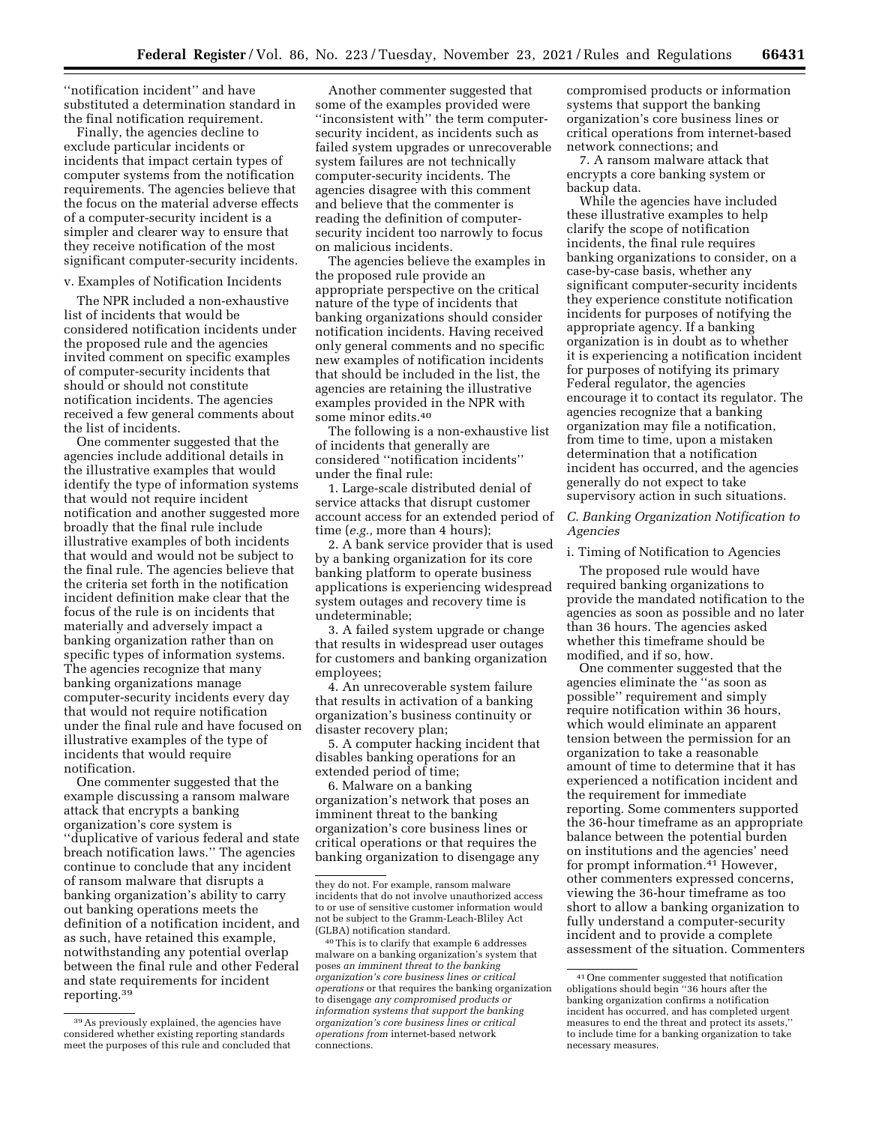''notification incident'' and have substituted a determination standard in the final notification requirement.

Finally, the agencies decline to exclude particular incidents or incidents that impact certain types of computer systems from the notification requirements. The agencies believe that the focus on the material adverse effects of a computer-security incident is a simpler and clearer way to ensure that they receive notification of the most significant computer-security incidents.

#### v. Examples of Notification Incidents

The NPR included a non-exhaustive list of incidents that would be considered notification incidents under the proposed rule and the agencies invited comment on specific examples of computer-security incidents that should or should not constitute notification incidents. The agencies received a few general comments about the list of incidents.

One commenter suggested that the agencies include additional details in the illustrative examples that would identify the type of information systems that would not require incident notification and another suggested more broadly that the final rule include illustrative examples of both incidents that would and would not be subject to the final rule. The agencies believe that the criteria set forth in the notification incident definition make clear that the focus of the rule is on incidents that materially and adversely impact a banking organization rather than on specific types of information systems. The agencies recognize that many banking organizations manage computer-security incidents every day that would not require notification under the final rule and have focused on illustrative examples of the type of incidents that would require notification.

One commenter suggested that the example discussing a ransom malware attack that encrypts a banking organization's core system is ''duplicative of various federal and state breach notification laws.'' The agencies continue to conclude that any incident of ransom malware that disrupts a banking organization's ability to carry out banking operations meets the definition of a notification incident, and as such, have retained this example, notwithstanding any potential overlap between the final rule and other Federal and state requirements for incident reporting.39

Another commenter suggested that some of the examples provided were ''inconsistent with'' the term computersecurity incident, as incidents such as failed system upgrades or unrecoverable system failures are not technically computer-security incidents. The agencies disagree with this comment and believe that the commenter is reading the definition of computersecurity incident too narrowly to focus on malicious incidents.

The agencies believe the examples in the proposed rule provide an appropriate perspective on the critical nature of the type of incidents that banking organizations should consider notification incidents. Having received only general comments and no specific new examples of notification incidents that should be included in the list, the agencies are retaining the illustrative examples provided in the NPR with some minor edits.40

The following is a non-exhaustive list of incidents that generally are considered ''notification incidents'' under the final rule:

1. Large-scale distributed denial of service attacks that disrupt customer account access for an extended period of time (*e.g.,* more than 4 hours);

2. A bank service provider that is used by a banking organization for its core banking platform to operate business applications is experiencing widespread system outages and recovery time is undeterminable;

3. A failed system upgrade or change that results in widespread user outages for customers and banking organization employees;

4. An unrecoverable system failure that results in activation of a banking organization's business continuity or disaster recovery plan;

5. A computer hacking incident that disables banking operations for an extended period of time;

6. Malware on a banking organization's network that poses an imminent threat to the banking organization's core business lines or critical operations or that requires the banking organization to disengage any compromised products or information systems that support the banking organization's core business lines or critical operations from internet-based network connections; and

7. A ransom malware attack that encrypts a core banking system or backup data.

While the agencies have included these illustrative examples to help clarify the scope of notification incidents, the final rule requires banking organizations to consider, on a case-by-case basis, whether any significant computer-security incidents they experience constitute notification incidents for purposes of notifying the appropriate agency. If a banking organization is in doubt as to whether it is experiencing a notification incident for purposes of notifying its primary Federal regulator, the agencies encourage it to contact its regulator. The agencies recognize that a banking organization may file a notification, from time to time, upon a mistaken determination that a notification incident has occurred, and the agencies generally do not expect to take supervisory action in such situations.

### *C. Banking Organization Notification to Agencies*

i. Timing of Notification to Agencies

The proposed rule would have required banking organizations to provide the mandated notification to the agencies as soon as possible and no later than 36 hours. The agencies asked whether this timeframe should be modified, and if so, how.

One commenter suggested that the agencies eliminate the ''as soon as possible'' requirement and simply require notification within 36 hours, which would eliminate an apparent tension between the permission for an organization to take a reasonable amount of time to determine that it has experienced a notification incident and the requirement for immediate reporting. Some commenters supported the 36-hour timeframe as an appropriate balance between the potential burden on institutions and the agencies' need for prompt information.<sup>41</sup> However, other commenters expressed concerns, viewing the 36-hour timeframe as too short to allow a banking organization to fully understand a computer-security incident and to provide a complete assessment of the situation. Commenters

<sup>39</sup>As previously explained, the agencies have considered whether existing reporting standards meet the purposes of this rule and concluded that

they do not. For example, ransom malware incidents that do not involve unauthorized access to or use of sensitive customer information would not be subject to the Gramm-Leach-Bliley Act (GLBA) notification standard.

<sup>40</sup>This is to clarify that example 6 addresses malware on a banking organization's system that poses *an imminent threat to the banking organization's core business lines or critical operations* or that requires the banking organization to disengage *any compromised products or information systems that support the banking organization's core business lines or critical operations from* internet-based network connections.

<sup>41</sup>One commenter suggested that notification obligations should begin ''36 hours after the banking organization confirms a notification incident has occurred, and has completed urgent measures to end the threat and protect its assets,'' to include time for a banking organization to take necessary measures.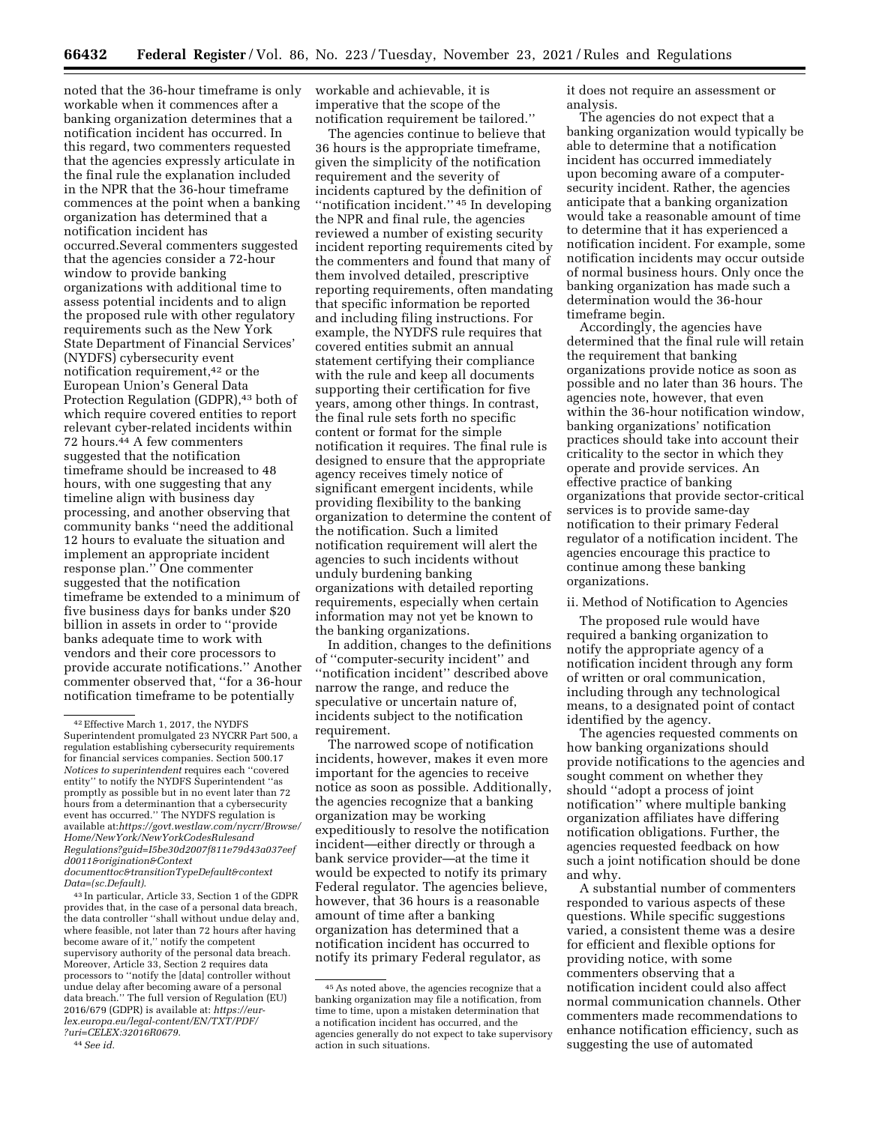noted that the 36-hour timeframe is only workable when it commences after a banking organization determines that a notification incident has occurred. In this regard, two commenters requested that the agencies expressly articulate in the final rule the explanation included in the NPR that the 36-hour timeframe commences at the point when a banking organization has determined that a notification incident has occurred.Several commenters suggested that the agencies consider a 72-hour window to provide banking organizations with additional time to assess potential incidents and to align the proposed rule with other regulatory requirements such as the New York State Department of Financial Services' (NYDFS) cybersecurity event notification requirement,<sup>42</sup> or the European Union's General Data Protection Regulation (GDPR),<sup>43</sup> both of which require covered entities to report relevant cyber-related incidents within 72 hours.44 A few commenters suggested that the notification timeframe should be increased to 48 hours, with one suggesting that any timeline align with business day processing, and another observing that community banks ''need the additional 12 hours to evaluate the situation and implement an appropriate incident response plan.'' One commenter suggested that the notification timeframe be extended to a minimum of five business days for banks under \$20 billion in assets in order to ''provide banks adequate time to work with vendors and their core processors to provide accurate notifications.'' Another commenter observed that, ''for a 36-hour notification timeframe to be potentially

*[Data=\(sc.Default\)](https://govt.westlaw.com/nycrr/Browse/Home/NewYork/NewYorkCodesRulesandRegulations?guid=I5be30d2007f811e79d43a037eefd0011&origination&Contextdocumenttoc&transitionTypeDefault&contextData=(sc.Default))*.

43 In particular, Article 33, Section 1 of the GDPR provides that, in the case of a personal data breach, the data controller ''shall without undue delay and, where feasible, not later than 72 hours after having become aware of it,'' notify the competent supervisory authority of the personal data breach. Moreover, Article 33, Section 2 requires data processors to ''notify the [data] controller without undue delay after becoming aware of a personal data breach.'' The full version of Regulation (EU) 2016/679 (GDPR) is available at: *[https://eur](https://eur-lex.europa.eu/legal-content/EN/TXT/PDF/?uri=CELEX:32016R0679)[lex.europa.eu/legal-content/EN/TXT/PDF/](https://eur-lex.europa.eu/legal-content/EN/TXT/PDF/?uri=CELEX:32016R0679)  [?uri=CELEX:32016R0679.](https://eur-lex.europa.eu/legal-content/EN/TXT/PDF/?uri=CELEX:32016R0679)* 

workable and achievable, it is imperative that the scope of the notification requirement be tailored.''

The agencies continue to believe that 36 hours is the appropriate timeframe, given the simplicity of the notification requirement and the severity of incidents captured by the definition of ''notification incident.'' 45 In developing the NPR and final rule, the agencies reviewed a number of existing security incident reporting requirements cited by the commenters and found that many of them involved detailed, prescriptive reporting requirements, often mandating that specific information be reported and including filing instructions. For example, the NYDFS rule requires that covered entities submit an annual statement certifying their compliance with the rule and keep all documents supporting their certification for five years, among other things. In contrast, the final rule sets forth no specific content or format for the simple notification it requires. The final rule is designed to ensure that the appropriate agency receives timely notice of significant emergent incidents, while providing flexibility to the banking organization to determine the content of the notification. Such a limited notification requirement will alert the agencies to such incidents without unduly burdening banking organizations with detailed reporting requirements, especially when certain information may not yet be known to the banking organizations.

In addition, changes to the definitions of ''computer-security incident'' and ''notification incident'' described above narrow the range, and reduce the speculative or uncertain nature of, incidents subject to the notification requirement.

The narrowed scope of notification incidents, however, makes it even more important for the agencies to receive notice as soon as possible. Additionally, the agencies recognize that a banking organization may be working expeditiously to resolve the notification incident—either directly or through a bank service provider—at the time it would be expected to notify its primary Federal regulator. The agencies believe, however, that 36 hours is a reasonable amount of time after a banking organization has determined that a notification incident has occurred to notify its primary Federal regulator, as

it does not require an assessment or analysis.

The agencies do not expect that a banking organization would typically be able to determine that a notification incident has occurred immediately upon becoming aware of a computersecurity incident. Rather, the agencies anticipate that a banking organization would take a reasonable amount of time to determine that it has experienced a notification incident. For example, some notification incidents may occur outside of normal business hours. Only once the banking organization has made such a determination would the 36-hour timeframe begin.

Accordingly, the agencies have determined that the final rule will retain the requirement that banking organizations provide notice as soon as possible and no later than 36 hours. The agencies note, however, that even within the 36-hour notification window, banking organizations' notification practices should take into account their criticality to the sector in which they operate and provide services. An effective practice of banking organizations that provide sector-critical services is to provide same-day notification to their primary Federal regulator of a notification incident. The agencies encourage this practice to continue among these banking organizations.

### ii. Method of Notification to Agencies

The proposed rule would have required a banking organization to notify the appropriate agency of a notification incident through any form of written or oral communication, including through any technological means, to a designated point of contact identified by the agency.

The agencies requested comments on how banking organizations should provide notifications to the agencies and sought comment on whether they should ''adopt a process of joint notification'' where multiple banking organization affiliates have differing notification obligations. Further, the agencies requested feedback on how such a joint notification should be done and why.

A substantial number of commenters responded to various aspects of these questions. While specific suggestions varied, a consistent theme was a desire for efficient and flexible options for providing notice, with some commenters observing that a notification incident could also affect normal communication channels. Other commenters made recommendations to enhance notification efficiency, such as suggesting the use of automated

<sup>42</sup>Effective March 1, 2017, the NYDFS Superintendent promulgated 23 NYCRR Part 500, a regulation establishing cybersecurity requirements for financial services companies. Section 500.17 *Notices to superintendent* requires each ''covered entity'' to notify the NYDFS Superintendent ''as promptly as possible but in no event later than 72 hours from a determinantion that a cybersecurity event has occurred.'' The NYDFS regulation is available at:*[https://govt.westlaw.com/nycrr/Browse/](https://govt.westlaw.com/nycrr/Browse/Home/NewYork/NewYorkCodesRulesandRegulations?guid=I5be30d2007f811e79d43a037eefd0011&origination&Contextdocumenttoc&transitionTypeDefault&contextData=(sc.Default))  [Home/NewYork/NewYorkCodesRulesand](https://govt.westlaw.com/nycrr/Browse/Home/NewYork/NewYorkCodesRulesandRegulations?guid=I5be30d2007f811e79d43a037eefd0011&origination&Contextdocumenttoc&transitionTypeDefault&contextData=(sc.Default)) [Regulations?guid=I5be30d2007f811e79d43a037eef](https://govt.westlaw.com/nycrr/Browse/Home/NewYork/NewYorkCodesRulesandRegulations?guid=I5be30d2007f811e79d43a037eefd0011&origination&Contextdocumenttoc&transitionTypeDefault&contextData=(sc.Default)) [d0011&origination&Context](https://govt.westlaw.com/nycrr/Browse/Home/NewYork/NewYorkCodesRulesandRegulations?guid=I5be30d2007f811e79d43a037eefd0011&origination&Contextdocumenttoc&transitionTypeDefault&contextData=(sc.Default)) [documenttoc&transitionTypeDefault&context](https://govt.westlaw.com/nycrr/Browse/Home/NewYork/NewYorkCodesRulesandRegulations?guid=I5be30d2007f811e79d43a037eefd0011&origination&Contextdocumenttoc&transitionTypeDefault&contextData=(sc.Default))*

<sup>44</sup>*See id.* 

<sup>45</sup>As noted above, the agencies recognize that a banking organization may file a notification, from time to time, upon a mistaken determination that a notification incident has occurred, and the agencies generally do not expect to take supervisory action in such situations.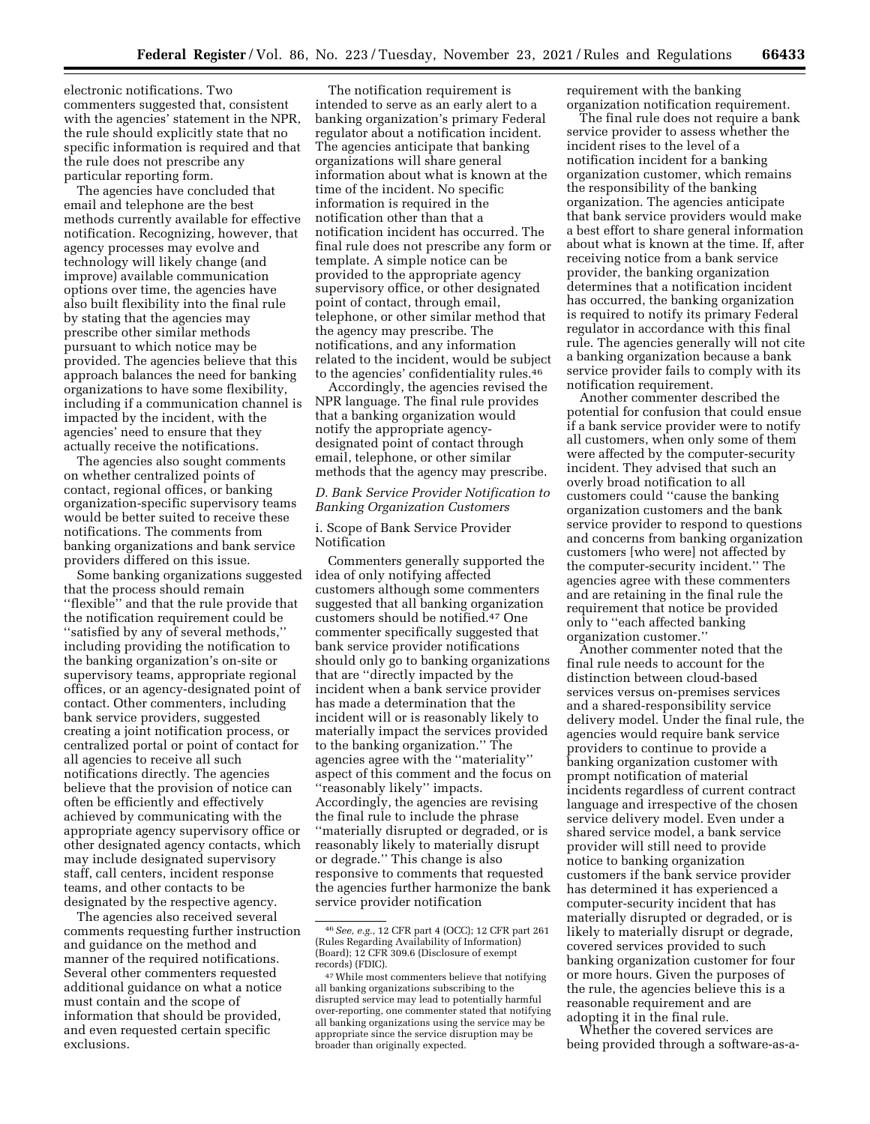electronic notifications. Two commenters suggested that, consistent with the agencies' statement in the NPR, the rule should explicitly state that no specific information is required and that the rule does not prescribe any particular reporting form.

The agencies have concluded that email and telephone are the best methods currently available for effective notification. Recognizing, however, that agency processes may evolve and technology will likely change (and improve) available communication options over time, the agencies have also built flexibility into the final rule by stating that the agencies may prescribe other similar methods pursuant to which notice may be provided. The agencies believe that this approach balances the need for banking organizations to have some flexibility, including if a communication channel is impacted by the incident, with the agencies' need to ensure that they actually receive the notifications.

The agencies also sought comments on whether centralized points of contact, regional offices, or banking organization-specific supervisory teams would be better suited to receive these notifications. The comments from banking organizations and bank service providers differed on this issue.

Some banking organizations suggested that the process should remain ''flexible'' and that the rule provide that the notification requirement could be ''satisfied by any of several methods,'' including providing the notification to the banking organization's on-site or supervisory teams, appropriate regional offices, or an agency-designated point of contact. Other commenters, including bank service providers, suggested creating a joint notification process, or centralized portal or point of contact for all agencies to receive all such notifications directly. The agencies believe that the provision of notice can often be efficiently and effectively achieved by communicating with the appropriate agency supervisory office or other designated agency contacts, which may include designated supervisory staff, call centers, incident response teams, and other contacts to be designated by the respective agency.

The agencies also received several comments requesting further instruction and guidance on the method and manner of the required notifications. Several other commenters requested additional guidance on what a notice must contain and the scope of information that should be provided, and even requested certain specific exclusions.

The notification requirement is intended to serve as an early alert to a banking organization's primary Federal regulator about a notification incident. The agencies anticipate that banking organizations will share general information about what is known at the time of the incident. No specific information is required in the notification other than that a notification incident has occurred. The final rule does not prescribe any form or template. A simple notice can be provided to the appropriate agency supervisory office, or other designated point of contact, through email, telephone, or other similar method that the agency may prescribe. The notifications, and any information related to the incident, would be subject to the agencies' confidentiality rules.46

Accordingly, the agencies revised the NPR language. The final rule provides that a banking organization would notify the appropriate agencydesignated point of contact through email, telephone, or other similar methods that the agency may prescribe.

## *D. Bank Service Provider Notification to Banking Organization Customers*

## i. Scope of Bank Service Provider Notification

Commenters generally supported the idea of only notifying affected customers although some commenters suggested that all banking organization customers should be notified.47 One commenter specifically suggested that bank service provider notifications should only go to banking organizations that are ''directly impacted by the incident when a bank service provider has made a determination that the incident will or is reasonably likely to materially impact the services provided to the banking organization.'' The agencies agree with the ''materiality'' aspect of this comment and the focus on ''reasonably likely'' impacts. Accordingly, the agencies are revising the final rule to include the phrase ''materially disrupted or degraded, or is reasonably likely to materially disrupt or degrade.'' This change is also responsive to comments that requested the agencies further harmonize the bank service provider notification

requirement with the banking organization notification requirement.

The final rule does not require a bank service provider to assess whether the incident rises to the level of a notification incident for a banking organization customer, which remains the responsibility of the banking organization. The agencies anticipate that bank service providers would make a best effort to share general information about what is known at the time. If, after receiving notice from a bank service provider, the banking organization determines that a notification incident has occurred, the banking organization is required to notify its primary Federal regulator in accordance with this final rule. The agencies generally will not cite a banking organization because a bank service provider fails to comply with its notification requirement.

Another commenter described the potential for confusion that could ensue if a bank service provider were to notify all customers, when only some of them were affected by the computer-security incident. They advised that such an overly broad notification to all customers could ''cause the banking organization customers and the bank service provider to respond to questions and concerns from banking organization customers [who were] not affected by the computer-security incident.'' The agencies agree with these commenters and are retaining in the final rule the requirement that notice be provided only to ''each affected banking organization customer.''

Another commenter noted that the final rule needs to account for the distinction between cloud-based services versus on-premises services and a shared-responsibility service delivery model. Under the final rule, the agencies would require bank service providers to continue to provide a banking organization customer with prompt notification of material incidents regardless of current contract language and irrespective of the chosen service delivery model. Even under a shared service model, a bank service provider will still need to provide notice to banking organization customers if the bank service provider has determined it has experienced a computer-security incident that has materially disrupted or degraded, or is likely to materially disrupt or degrade, covered services provided to such banking organization customer for four or more hours. Given the purposes of the rule, the agencies believe this is a reasonable requirement and are adopting it in the final rule.

Whether the covered services are being provided through a software-as-a-

<sup>46</sup>*See, e.g.,* 12 CFR part 4 (OCC); 12 CFR part 261 (Rules Regarding Availability of Information) (Board); 12 CFR 309.6 (Disclosure of exempt records) (FDIC).

<sup>47</sup>While most commenters believe that notifying all banking organizations subscribing to the disrupted service may lead to potentially harmful over-reporting, one commenter stated that notifying all banking organizations using the service may be appropriate since the service disruption may be broader than originally expected.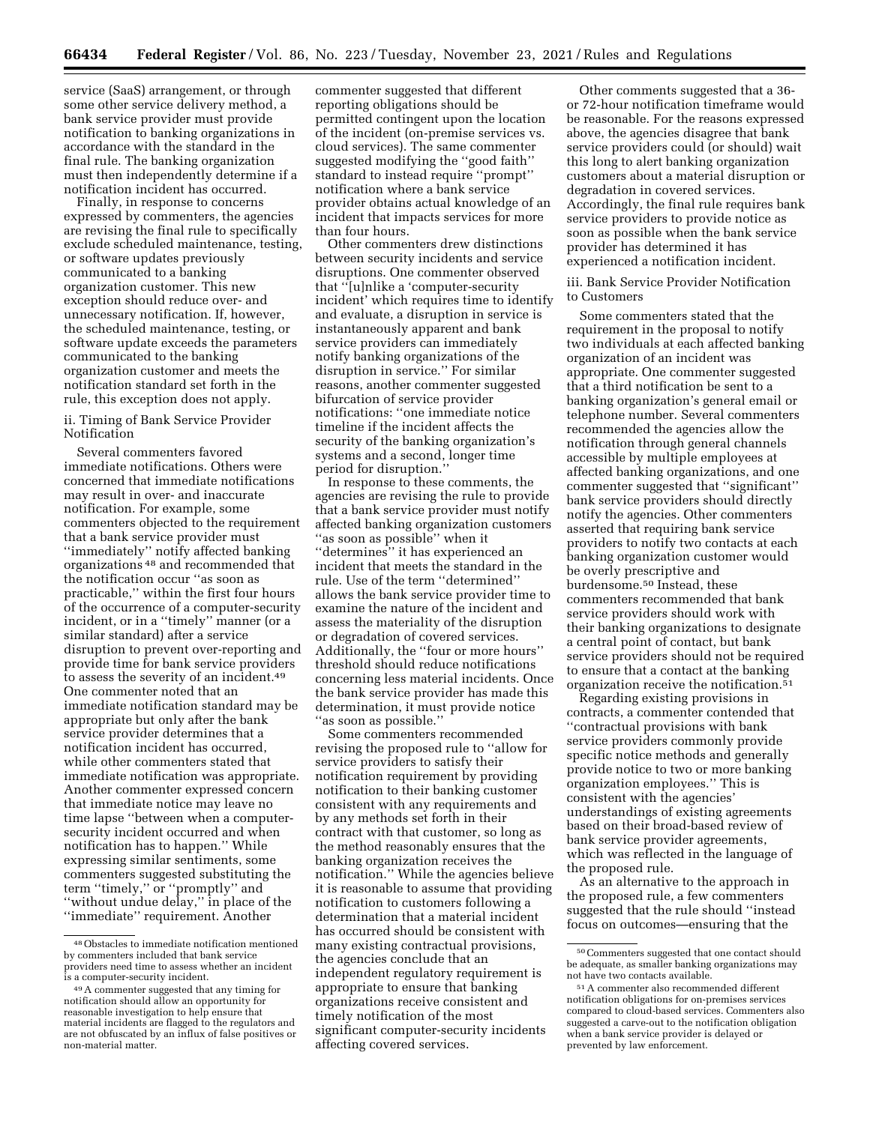service (SaaS) arrangement, or through some other service delivery method, a bank service provider must provide notification to banking organizations in accordance with the standard in the final rule. The banking organization must then independently determine if a notification incident has occurred.

Finally, in response to concerns expressed by commenters, the agencies are revising the final rule to specifically exclude scheduled maintenance, testing, or software updates previously communicated to a banking organization customer. This new exception should reduce over- and unnecessary notification. If, however, the scheduled maintenance, testing, or software update exceeds the parameters communicated to the banking organization customer and meets the notification standard set forth in the rule, this exception does not apply.

ii. Timing of Bank Service Provider Notification

Several commenters favored immediate notifications. Others were concerned that immediate notifications may result in over- and inaccurate notification. For example, some commenters objected to the requirement that a bank service provider must ''immediately'' notify affected banking organizations 48 and recommended that the notification occur ''as soon as practicable,'' within the first four hours of the occurrence of a computer-security incident, or in a ''timely'' manner (or a similar standard) after a service disruption to prevent over-reporting and provide time for bank service providers to assess the severity of an incident.49 One commenter noted that an immediate notification standard may be appropriate but only after the bank service provider determines that a notification incident has occurred, while other commenters stated that immediate notification was appropriate. Another commenter expressed concern that immediate notice may leave no time lapse ''between when a computersecurity incident occurred and when notification has to happen.'' While expressing similar sentiments, some commenters suggested substituting the term ''timely,'' or ''promptly'' and ''without undue delay,'' in place of the ''immediate'' requirement. Another

commenter suggested that different reporting obligations should be permitted contingent upon the location of the incident (on-premise services vs. cloud services). The same commenter suggested modifying the ''good faith'' standard to instead require ''prompt'' notification where a bank service provider obtains actual knowledge of an incident that impacts services for more than four hours.

Other commenters drew distinctions between security incidents and service disruptions. One commenter observed that ''[u]nlike a 'computer-security incident' which requires time to identify and evaluate, a disruption in service is instantaneously apparent and bank service providers can immediately notify banking organizations of the disruption in service.'' For similar reasons, another commenter suggested bifurcation of service provider notifications: ''one immediate notice timeline if the incident affects the security of the banking organization's systems and a second, longer time period for disruption.''

In response to these comments, the agencies are revising the rule to provide that a bank service provider must notify affected banking organization customers ''as soon as possible'' when it ''determines'' it has experienced an incident that meets the standard in the rule. Use of the term ''determined'' allows the bank service provider time to examine the nature of the incident and assess the materiality of the disruption or degradation of covered services. Additionally, the ''four or more hours'' threshold should reduce notifications concerning less material incidents. Once the bank service provider has made this determination, it must provide notice ''as soon as possible.''

Some commenters recommended revising the proposed rule to ''allow for service providers to satisfy their notification requirement by providing notification to their banking customer consistent with any requirements and by any methods set forth in their contract with that customer, so long as the method reasonably ensures that the banking organization receives the notification.'' While the agencies believe it is reasonable to assume that providing notification to customers following a determination that a material incident has occurred should be consistent with many existing contractual provisions, the agencies conclude that an independent regulatory requirement is appropriate to ensure that banking organizations receive consistent and timely notification of the most significant computer-security incidents affecting covered services.

Other comments suggested that a 36 or 72-hour notification timeframe would be reasonable. For the reasons expressed above, the agencies disagree that bank service providers could (or should) wait this long to alert banking organization customers about a material disruption or degradation in covered services. Accordingly, the final rule requires bank service providers to provide notice as soon as possible when the bank service provider has determined it has experienced a notification incident.

iii. Bank Service Provider Notification to Customers

Some commenters stated that the requirement in the proposal to notify two individuals at each affected banking organization of an incident was appropriate. One commenter suggested that a third notification be sent to a banking organization's general email or telephone number. Several commenters recommended the agencies allow the notification through general channels accessible by multiple employees at affected banking organizations, and one commenter suggested that ''significant'' bank service providers should directly notify the agencies. Other commenters asserted that requiring bank service providers to notify two contacts at each banking organization customer would be overly prescriptive and burdensome.50 Instead, these commenters recommended that bank service providers should work with their banking organizations to designate a central point of contact, but bank service providers should not be required to ensure that a contact at the banking organization receive the notification.51

Regarding existing provisions in contracts, a commenter contended that ''contractual provisions with bank service providers commonly provide specific notice methods and generally provide notice to two or more banking organization employees.'' This is consistent with the agencies' understandings of existing agreements based on their broad-based review of bank service provider agreements, which was reflected in the language of the proposed rule.

As an alternative to the approach in the proposed rule, a few commenters suggested that the rule should ''instead focus on outcomes—ensuring that the

<sup>48</sup>Obstacles to immediate notification mentioned by commenters included that bank service providers need time to assess whether an incident

<sup>&</sup>lt;sup>49</sup> A commenter suggested that any timing for notification should allow an opportunity for reasonable investigation to help ensure that material incidents are flagged to the regulators and are not obfuscated by an influx of false positives or non-material matter.

<sup>50</sup>Commenters suggested that one contact should be adequate, as smaller banking organizations may not have two contacts available.

<sup>51</sup>A commenter also recommended different notification obligations for on-premises services compared to cloud-based services. Commenters also suggested a carve-out to the notification obligation when a bank service provider is delayed or prevented by law enforcement.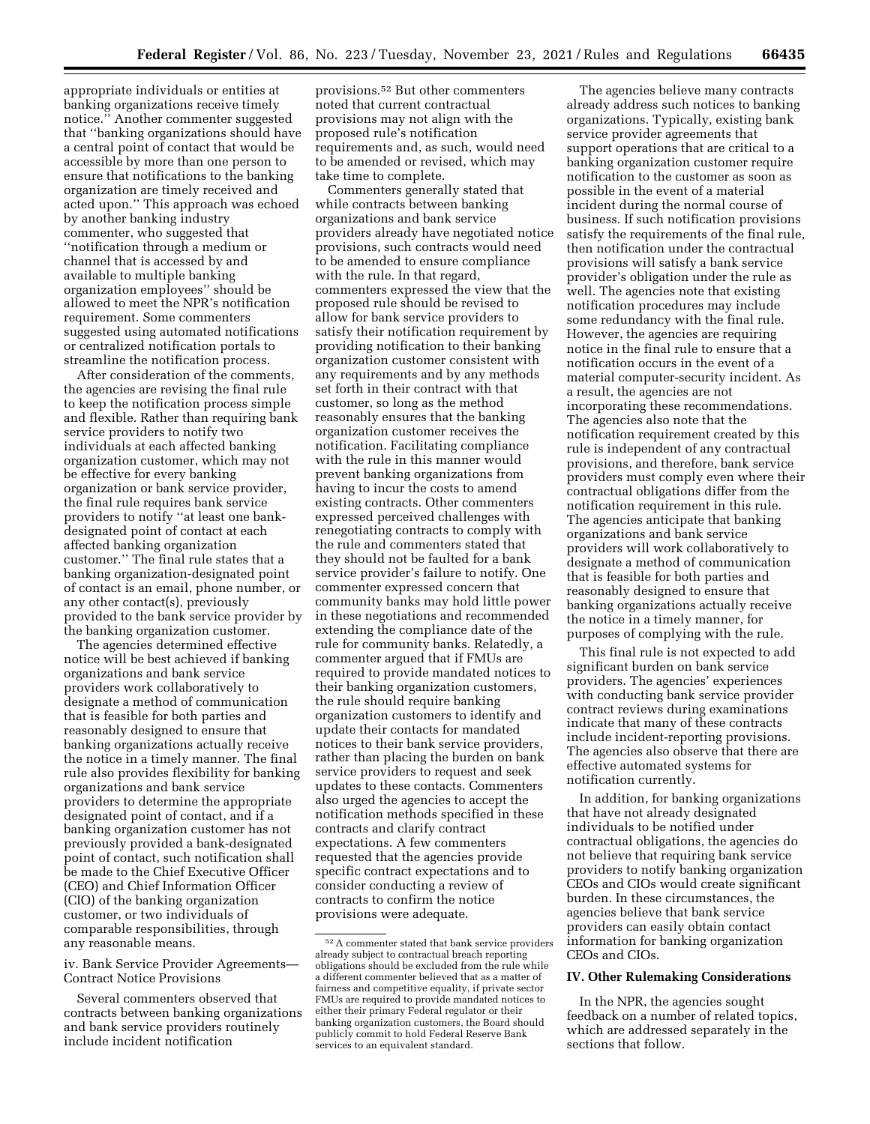appropriate individuals or entities at banking organizations receive timely notice.'' Another commenter suggested that ''banking organizations should have a central point of contact that would be accessible by more than one person to ensure that notifications to the banking organization are timely received and acted upon.'' This approach was echoed by another banking industry commenter, who suggested that ''notification through a medium or channel that is accessed by and available to multiple banking organization employees'' should be allowed to meet the NPR's notification requirement. Some commenters suggested using automated notifications or centralized notification portals to streamline the notification process.

After consideration of the comments, the agencies are revising the final rule to keep the notification process simple and flexible. Rather than requiring bank service providers to notify two individuals at each affected banking organization customer, which may not be effective for every banking organization or bank service provider, the final rule requires bank service providers to notify ''at least one bankdesignated point of contact at each affected banking organization customer.'' The final rule states that a banking organization-designated point of contact is an email, phone number, or any other contact(s), previously provided to the bank service provider by the banking organization customer.

The agencies determined effective notice will be best achieved if banking organizations and bank service providers work collaboratively to designate a method of communication that is feasible for both parties and reasonably designed to ensure that banking organizations actually receive the notice in a timely manner. The final rule also provides flexibility for banking organizations and bank service providers to determine the appropriate designated point of contact, and if a banking organization customer has not previously provided a bank-designated point of contact, such notification shall be made to the Chief Executive Officer (CEO) and Chief Information Officer (CIO) of the banking organization customer, or two individuals of comparable responsibilities, through any reasonable means.

iv. Bank Service Provider Agreements— Contract Notice Provisions

Several commenters observed that contracts between banking organizations and bank service providers routinely include incident notification

provisions.52 But other commenters noted that current contractual provisions may not align with the proposed rule's notification requirements and, as such, would need to be amended or revised, which may take time to complete.

Commenters generally stated that while contracts between banking organizations and bank service providers already have negotiated notice provisions, such contracts would need to be amended to ensure compliance with the rule. In that regard, commenters expressed the view that the proposed rule should be revised to allow for bank service providers to satisfy their notification requirement by providing notification to their banking organization customer consistent with any requirements and by any methods set forth in their contract with that customer, so long as the method reasonably ensures that the banking organization customer receives the notification. Facilitating compliance with the rule in this manner would prevent banking organizations from having to incur the costs to amend existing contracts. Other commenters expressed perceived challenges with renegotiating contracts to comply with the rule and commenters stated that they should not be faulted for a bank service provider's failure to notify. One commenter expressed concern that community banks may hold little power in these negotiations and recommended extending the compliance date of the rule for community banks. Relatedly, a commenter argued that if FMUs are required to provide mandated notices to their banking organization customers, the rule should require banking organization customers to identify and update their contacts for mandated notices to their bank service providers, rather than placing the burden on bank service providers to request and seek updates to these contacts. Commenters also urged the agencies to accept the notification methods specified in these contracts and clarify contract expectations. A few commenters requested that the agencies provide specific contract expectations and to consider conducting a review of contracts to confirm the notice provisions were adequate.

The agencies believe many contracts already address such notices to banking organizations. Typically, existing bank service provider agreements that support operations that are critical to a banking organization customer require notification to the customer as soon as possible in the event of a material incident during the normal course of business. If such notification provisions satisfy the requirements of the final rule, then notification under the contractual provisions will satisfy a bank service provider's obligation under the rule as well. The agencies note that existing notification procedures may include some redundancy with the final rule. However, the agencies are requiring notice in the final rule to ensure that a notification occurs in the event of a material computer-security incident. As a result, the agencies are not incorporating these recommendations. The agencies also note that the notification requirement created by this rule is independent of any contractual provisions, and therefore, bank service providers must comply even where their contractual obligations differ from the notification requirement in this rule. The agencies anticipate that banking organizations and bank service providers will work collaboratively to designate a method of communication that is feasible for both parties and reasonably designed to ensure that banking organizations actually receive the notice in a timely manner, for purposes of complying with the rule.

This final rule is not expected to add significant burden on bank service providers. The agencies' experiences with conducting bank service provider contract reviews during examinations indicate that many of these contracts include incident-reporting provisions. The agencies also observe that there are effective automated systems for notification currently.

In addition, for banking organizations that have not already designated individuals to be notified under contractual obligations, the agencies do not believe that requiring bank service providers to notify banking organization CEOs and CIOs would create significant burden. In these circumstances, the agencies believe that bank service providers can easily obtain contact information for banking organization CEOs and CIOs.

### **IV. Other Rulemaking Considerations**

In the NPR, the agencies sought feedback on a number of related topics, which are addressed separately in the sections that follow.

<sup>52</sup>A commenter stated that bank service providers already subject to contractual breach reporting obligations should be excluded from the rule while a different commenter believed that as a matter of fairness and competitive equality, if private sector FMUs are required to provide mandated notices to either their primary Federal regulator or their banking organization customers, the Board should publicly commit to hold Federal Reserve Bank services to an equivalent standard.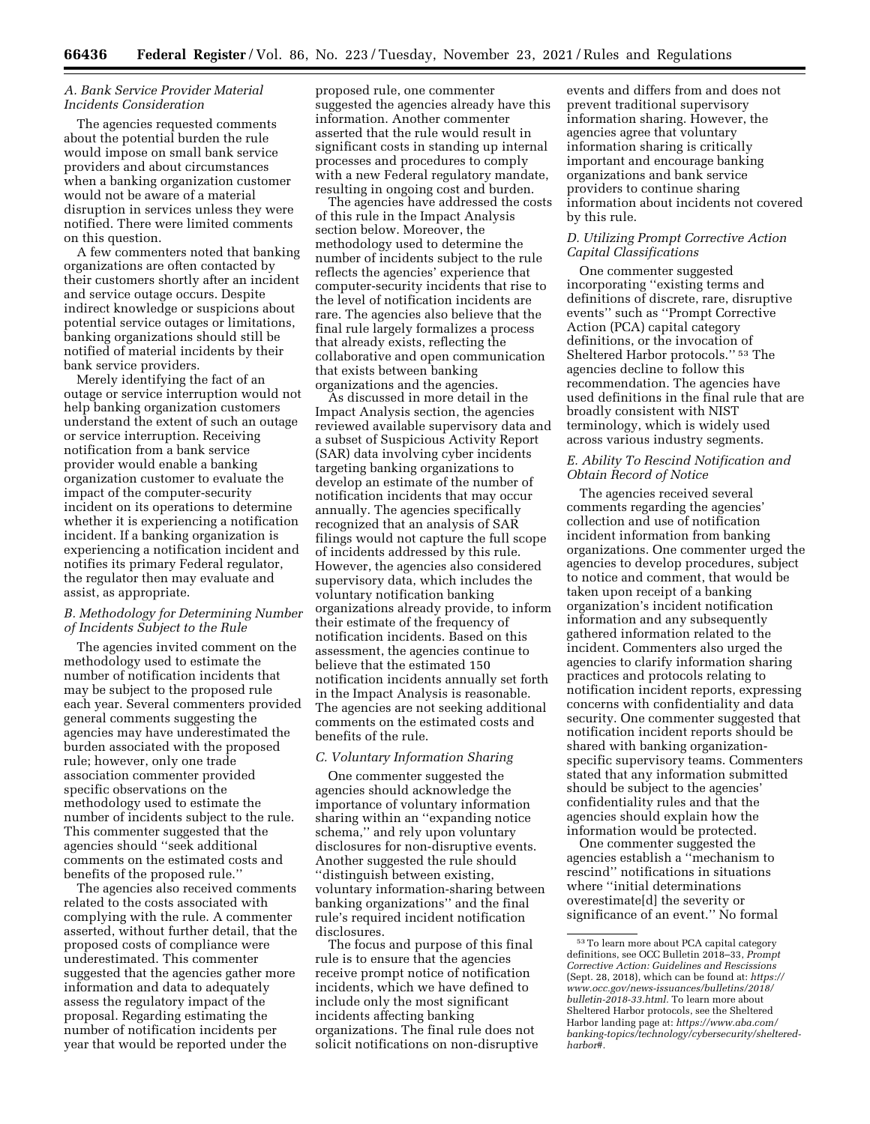### *A. Bank Service Provider Material Incidents Consideration*

The agencies requested comments about the potential burden the rule would impose on small bank service providers and about circumstances when a banking organization customer would not be aware of a material disruption in services unless they were notified. There were limited comments on this question.

A few commenters noted that banking organizations are often contacted by their customers shortly after an incident and service outage occurs. Despite indirect knowledge or suspicions about potential service outages or limitations, banking organizations should still be notified of material incidents by their bank service providers.

Merely identifying the fact of an outage or service interruption would not help banking organization customers understand the extent of such an outage or service interruption. Receiving notification from a bank service provider would enable a banking organization customer to evaluate the impact of the computer-security incident on its operations to determine whether it is experiencing a notification incident. If a banking organization is experiencing a notification incident and notifies its primary Federal regulator, the regulator then may evaluate and assist, as appropriate.

# *B. Methodology for Determining Number of Incidents Subject to the Rule*

The agencies invited comment on the methodology used to estimate the number of notification incidents that may be subject to the proposed rule each year. Several commenters provided general comments suggesting the agencies may have underestimated the burden associated with the proposed rule; however, only one trade association commenter provided specific observations on the methodology used to estimate the number of incidents subject to the rule. This commenter suggested that the agencies should ''seek additional comments on the estimated costs and benefits of the proposed rule.''

The agencies also received comments related to the costs associated with complying with the rule. A commenter asserted, without further detail, that the proposed costs of compliance were underestimated. This commenter suggested that the agencies gather more information and data to adequately assess the regulatory impact of the proposal. Regarding estimating the number of notification incidents per year that would be reported under the

proposed rule, one commenter suggested the agencies already have this information. Another commenter asserted that the rule would result in significant costs in standing up internal processes and procedures to comply with a new Federal regulatory mandate, resulting in ongoing cost and burden.

The agencies have addressed the costs of this rule in the Impact Analysis section below. Moreover, the methodology used to determine the number of incidents subject to the rule reflects the agencies' experience that computer-security incidents that rise to the level of notification incidents are rare. The agencies also believe that the final rule largely formalizes a process that already exists, reflecting the collaborative and open communication that exists between banking organizations and the agencies.

As discussed in more detail in the Impact Analysis section, the agencies reviewed available supervisory data and a subset of Suspicious Activity Report (SAR) data involving cyber incidents targeting banking organizations to develop an estimate of the number of notification incidents that may occur annually. The agencies specifically recognized that an analysis of SAR filings would not capture the full scope of incidents addressed by this rule. However, the agencies also considered supervisory data, which includes the voluntary notification banking organizations already provide, to inform their estimate of the frequency of notification incidents. Based on this assessment, the agencies continue to believe that the estimated 150 notification incidents annually set forth in the Impact Analysis is reasonable. The agencies are not seeking additional comments on the estimated costs and benefits of the rule.

### *C. Voluntary Information Sharing*

One commenter suggested the agencies should acknowledge the importance of voluntary information sharing within an ''expanding notice schema,'' and rely upon voluntary disclosures for non-disruptive events. Another suggested the rule should ''distinguish between existing, voluntary information-sharing between banking organizations'' and the final rule's required incident notification disclosures.

The focus and purpose of this final rule is to ensure that the agencies receive prompt notice of notification incidents, which we have defined to include only the most significant incidents affecting banking organizations. The final rule does not solicit notifications on non-disruptive

events and differs from and does not prevent traditional supervisory information sharing. However, the agencies agree that voluntary information sharing is critically important and encourage banking organizations and bank service providers to continue sharing information about incidents not covered by this rule.

### *D. Utilizing Prompt Corrective Action Capital Classifications*

One commenter suggested incorporating ''existing terms and definitions of discrete, rare, disruptive events'' such as ''Prompt Corrective Action (PCA) capital category definitions, or the invocation of Sheltered Harbor protocols.'' 53 The agencies decline to follow this recommendation. The agencies have used definitions in the final rule that are broadly consistent with NIST terminology, which is widely used across various industry segments.

# *E. Ability To Rescind Notification and Obtain Record of Notice*

The agencies received several comments regarding the agencies' collection and use of notification incident information from banking organizations. One commenter urged the agencies to develop procedures, subject to notice and comment, that would be taken upon receipt of a banking organization's incident notification information and any subsequently gathered information related to the incident. Commenters also urged the agencies to clarify information sharing practices and protocols relating to notification incident reports, expressing concerns with confidentiality and data security. One commenter suggested that notification incident reports should be shared with banking organizationspecific supervisory teams. Commenters stated that any information submitted should be subject to the agencies' confidentiality rules and that the agencies should explain how the information would be protected.

One commenter suggested the agencies establish a ''mechanism to rescind'' notifications in situations where ''initial determinations overestimate[d] the severity or significance of an event.'' No formal

<sup>53</sup>To learn more about PCA capital category definitions, see OCC Bulletin 2018–33, *Prompt Corrective Action: Guidelines and Rescissions*  (Sept. 28, 2018), which can be found at: *[https://](https://www.occ.gov/news-issuances/bulletins/2018/bulletin-2018-33.html) [www.occ.gov/news-issuances/bulletins/2018/](https://www.occ.gov/news-issuances/bulletins/2018/bulletin-2018-33.html)  [bulletin-2018-33.html.](https://www.occ.gov/news-issuances/bulletins/2018/bulletin-2018-33.html)* To learn more about Sheltered Harbor protocols, see the Sheltered Harbor landing page at: *[https://www.aba.com/](https://www.aba.com/banking-topics/technology/cybersecurity/sheltered-harbor#)  [banking-topics/technology/cybersecurity/sheltered](https://www.aba.com/banking-topics/technology/cybersecurity/sheltered-harbor#)[harbor#.](https://www.aba.com/banking-topics/technology/cybersecurity/sheltered-harbor#)*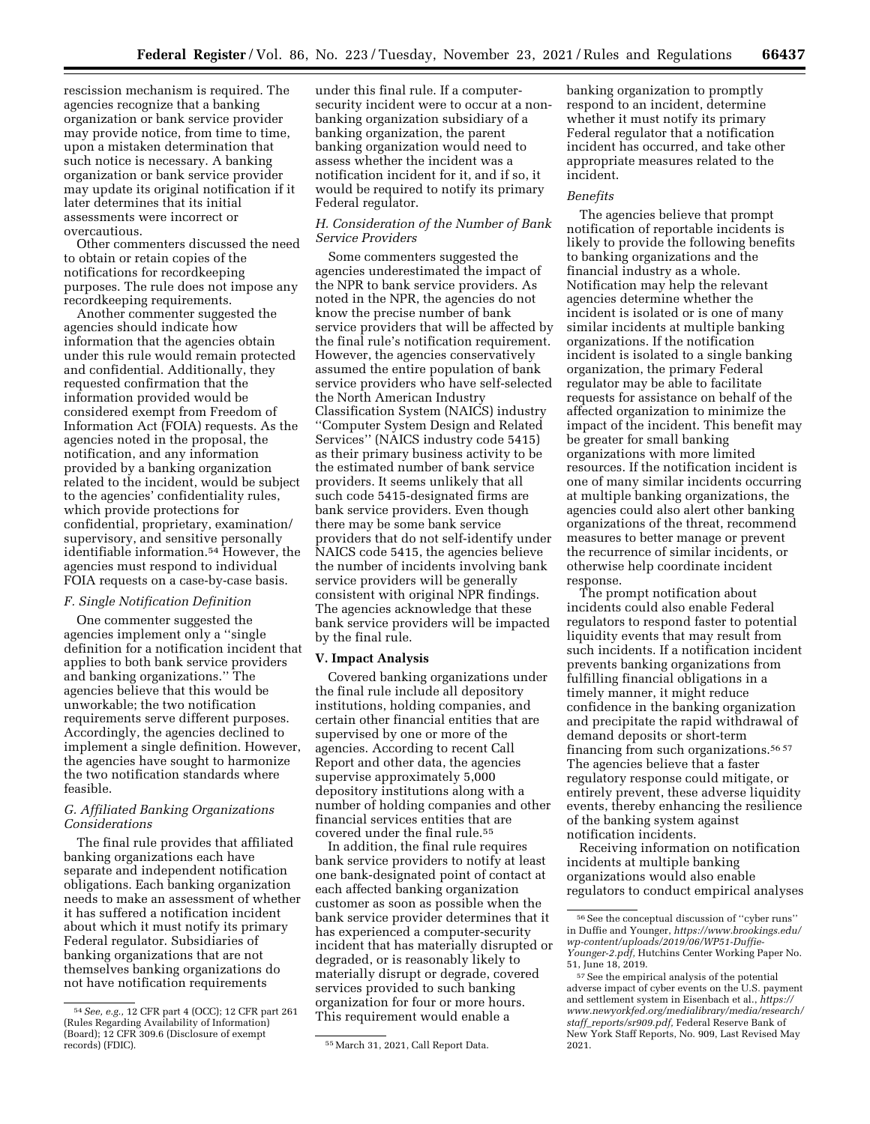rescission mechanism is required. The agencies recognize that a banking organization or bank service provider may provide notice, from time to time, upon a mistaken determination that such notice is necessary. A banking organization or bank service provider may update its original notification if it later determines that its initial assessments were incorrect or overcautious.

Other commenters discussed the need to obtain or retain copies of the notifications for recordkeeping purposes. The rule does not impose any recordkeeping requirements.

Another commenter suggested the agencies should indicate how information that the agencies obtain under this rule would remain protected and confidential. Additionally, they requested confirmation that the information provided would be considered exempt from Freedom of Information Act (FOIA) requests. As the agencies noted in the proposal, the notification, and any information provided by a banking organization related to the incident, would be subject to the agencies' confidentiality rules, which provide protections for confidential, proprietary, examination/ supervisory, and sensitive personally identifiable information.54 However, the agencies must respond to individual FOIA requests on a case-by-case basis.

#### *F. Single Notification Definition*

One commenter suggested the agencies implement only a ''single definition for a notification incident that applies to both bank service providers and banking organizations.'' The agencies believe that this would be unworkable; the two notification requirements serve different purposes. Accordingly, the agencies declined to implement a single definition. However, the agencies have sought to harmonize the two notification standards where feasible.

# *G. Affiliated Banking Organizations Considerations*

The final rule provides that affiliated banking organizations each have separate and independent notification obligations. Each banking organization needs to make an assessment of whether it has suffered a notification incident about which it must notify its primary Federal regulator. Subsidiaries of banking organizations that are not themselves banking organizations do not have notification requirements

under this final rule. If a computersecurity incident were to occur at a nonbanking organization subsidiary of a banking organization, the parent banking organization would need to assess whether the incident was a notification incident for it, and if so, it would be required to notify its primary Federal regulator.

# *H. Consideration of the Number of Bank Service Providers*

Some commenters suggested the agencies underestimated the impact of the NPR to bank service providers. As noted in the NPR, the agencies do not know the precise number of bank service providers that will be affected by the final rule's notification requirement. However, the agencies conservatively assumed the entire population of bank service providers who have self-selected the North American Industry Classification System (NAICS) industry ''Computer System Design and Related Services'' (NAICS industry code 5415) as their primary business activity to be the estimated number of bank service providers. It seems unlikely that all such code 5415-designated firms are bank service providers. Even though there may be some bank service providers that do not self-identify under NAICS code 5415, the agencies believe the number of incidents involving bank service providers will be generally consistent with original NPR findings. The agencies acknowledge that these bank service providers will be impacted by the final rule.

#### **V. Impact Analysis**

Covered banking organizations under the final rule include all depository institutions, holding companies, and certain other financial entities that are supervised by one or more of the agencies. According to recent Call Report and other data, the agencies supervise approximately 5,000 depository institutions along with a number of holding companies and other financial services entities that are covered under the final rule.55

In addition, the final rule requires bank service providers to notify at least one bank-designated point of contact at each affected banking organization customer as soon as possible when the bank service provider determines that it has experienced a computer-security incident that has materially disrupted or degraded, or is reasonably likely to materially disrupt or degrade, covered services provided to such banking organization for four or more hours. This requirement would enable a

banking organization to promptly respond to an incident, determine whether it must notify its primary Federal regulator that a notification incident has occurred, and take other appropriate measures related to the incident.

#### *Benefits*

The agencies believe that prompt notification of reportable incidents is likely to provide the following benefits to banking organizations and the financial industry as a whole. Notification may help the relevant agencies determine whether the incident is isolated or is one of many similar incidents at multiple banking organizations. If the notification incident is isolated to a single banking organization, the primary Federal regulator may be able to facilitate requests for assistance on behalf of the affected organization to minimize the impact of the incident. This benefit may be greater for small banking organizations with more limited resources. If the notification incident is one of many similar incidents occurring at multiple banking organizations, the agencies could also alert other banking organizations of the threat, recommend measures to better manage or prevent the recurrence of similar incidents, or otherwise help coordinate incident response.

The prompt notification about incidents could also enable Federal regulators to respond faster to potential liquidity events that may result from such incidents. If a notification incident prevents banking organizations from fulfilling financial obligations in a timely manner, it might reduce confidence in the banking organization and precipitate the rapid withdrawal of demand deposits or short-term financing from such organizations.<sup>56 57</sup> The agencies believe that a faster regulatory response could mitigate, or entirely prevent, these adverse liquidity events, thereby enhancing the resilience of the banking system against notification incidents.

Receiving information on notification incidents at multiple banking organizations would also enable regulators to conduct empirical analyses

<sup>54</sup>*See, e.g.,* 12 CFR part 4 (OCC); 12 CFR part 261 (Rules Regarding Availability of Information) (Board); 12 CFR 309.6 (Disclosure of exempt

<sup>55</sup> March 31, 2021, Call Report Data.

<sup>56</sup>See the conceptual discussion of ''cyber runs'' in Duffie and Younger, *[https://www.brookings.edu/](https://www.brookings.edu/wp-content/uploads/2019/06/WP51-Duffie-Younger-2.pdf) [wp-content/uploads/2019/06/WP51-Duffie-](https://www.brookings.edu/wp-content/uploads/2019/06/WP51-Duffie-Younger-2.pdf)[Younger-2.pdf,](https://www.brookings.edu/wp-content/uploads/2019/06/WP51-Duffie-Younger-2.pdf)* Hutchins Center Working Paper No. 51, June 18, 2019.

<sup>57</sup>See the empirical analysis of the potential adverse impact of cyber events on the U.S. payment and settlement system in Eisenbach et al., *[https://](https://www.newyorkfed.org/medialibrary/media/research/staff_reports/sr909.pdf)  [www.newyorkfed.org/medialibrary/media/research/](https://www.newyorkfed.org/medialibrary/media/research/staff_reports/sr909.pdf)  staff*\_*[reports/sr909.pdf,](https://www.newyorkfed.org/medialibrary/media/research/staff_reports/sr909.pdf)* Federal Reserve Bank of New York Staff Reports, No. 909, Last Revised May 2021.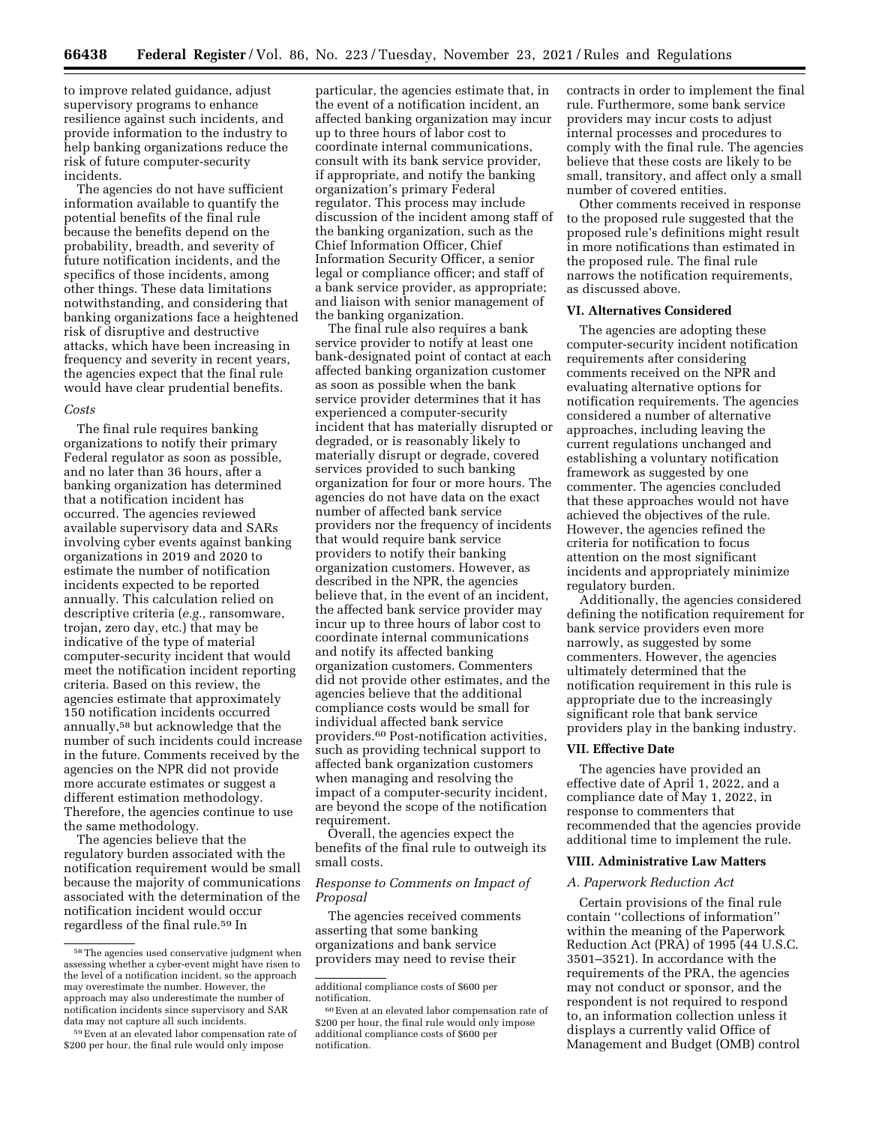to improve related guidance, adjust supervisory programs to enhance resilience against such incidents, and provide information to the industry to help banking organizations reduce the risk of future computer-security incidents.

The agencies do not have sufficient information available to quantify the potential benefits of the final rule because the benefits depend on the probability, breadth, and severity of future notification incidents, and the specifics of those incidents, among other things. These data limitations notwithstanding, and considering that banking organizations face a heightened risk of disruptive and destructive attacks, which have been increasing in frequency and severity in recent years, the agencies expect that the final rule would have clear prudential benefits.

#### *Costs*

The final rule requires banking organizations to notify their primary Federal regulator as soon as possible, and no later than 36 hours, after a banking organization has determined that a notification incident has occurred. The agencies reviewed available supervisory data and SARs involving cyber events against banking organizations in 2019 and 2020 to estimate the number of notification incidents expected to be reported annually. This calculation relied on descriptive criteria (*e.g.,* ransomware, trojan, zero day, etc.) that may be indicative of the type of material computer-security incident that would meet the notification incident reporting criteria. Based on this review, the agencies estimate that approximately 150 notification incidents occurred annually,58 but acknowledge that the number of such incidents could increase in the future. Comments received by the agencies on the NPR did not provide more accurate estimates or suggest a different estimation methodology. Therefore, the agencies continue to use the same methodology.

The agencies believe that the regulatory burden associated with the notification requirement would be small because the majority of communications associated with the determination of the notification incident would occur regardless of the final rule.59 In

particular, the agencies estimate that, in the event of a notification incident, an affected banking organization may incur up to three hours of labor cost to coordinate internal communications, consult with its bank service provider, if appropriate, and notify the banking organization's primary Federal regulator. This process may include discussion of the incident among staff of the banking organization, such as the Chief Information Officer, Chief Information Security Officer, a senior legal or compliance officer; and staff of a bank service provider, as appropriate; and liaison with senior management of the banking organization.

The final rule also requires a bank service provider to notify at least one bank-designated point of contact at each affected banking organization customer as soon as possible when the bank service provider determines that it has experienced a computer-security incident that has materially disrupted or degraded, or is reasonably likely to materially disrupt or degrade, covered services provided to such banking organization for four or more hours. The agencies do not have data on the exact number of affected bank service providers nor the frequency of incidents that would require bank service providers to notify their banking organization customers. However, as described in the NPR, the agencies believe that, in the event of an incident, the affected bank service provider may incur up to three hours of labor cost to coordinate internal communications and notify its affected banking organization customers. Commenters did not provide other estimates, and the agencies believe that the additional compliance costs would be small for individual affected bank service providers.60 Post-notification activities, such as providing technical support to affected bank organization customers when managing and resolving the impact of a computer-security incident, are beyond the scope of the notification requirement.

Overall, the agencies expect the benefits of the final rule to outweigh its small costs.

### *Response to Comments on Impact of Proposal*

The agencies received comments asserting that some banking organizations and bank service providers may need to revise their

contracts in order to implement the final rule. Furthermore, some bank service providers may incur costs to adjust internal processes and procedures to comply with the final rule. The agencies believe that these costs are likely to be small, transitory, and affect only a small number of covered entities.

Other comments received in response to the proposed rule suggested that the proposed rule's definitions might result in more notifications than estimated in the proposed rule. The final rule narrows the notification requirements, as discussed above.

# **VI. Alternatives Considered**

The agencies are adopting these computer-security incident notification requirements after considering comments received on the NPR and evaluating alternative options for notification requirements. The agencies considered a number of alternative approaches, including leaving the current regulations unchanged and establishing a voluntary notification framework as suggested by one commenter. The agencies concluded that these approaches would not have achieved the objectives of the rule. However, the agencies refined the criteria for notification to focus attention on the most significant incidents and appropriately minimize regulatory burden.

Additionally, the agencies considered defining the notification requirement for bank service providers even more narrowly, as suggested by some commenters. However, the agencies ultimately determined that the notification requirement in this rule is appropriate due to the increasingly significant role that bank service providers play in the banking industry.

#### **VII. Effective Date**

The agencies have provided an effective date of April 1, 2022, and a compliance date of May 1, 2022, in response to commenters that recommended that the agencies provide additional time to implement the rule.

#### **VIII. Administrative Law Matters**

#### *A. Paperwork Reduction Act*

Certain provisions of the final rule contain ''collections of information'' within the meaning of the Paperwork Reduction Act (PRA) of 1995 (44 U.S.C. 3501–3521). In accordance with the requirements of the PRA, the agencies may not conduct or sponsor, and the respondent is not required to respond to, an information collection unless it displays a currently valid Office of Management and Budget (OMB) control

 $^{\rm 58}\!$  The agencies used conservative judgment when assessing whether a cyber-event might have risen to the level of a notification incident, so the approach may overestimate the number. However, the approach may also underestimate the number of notification incidents since supervisory and SAR data may not capture all such incidents.

<sup>59</sup>Even at an elevated labor compensation rate of \$200 per hour, the final rule would only impose

additional compliance costs of \$600 per notification.

<sup>60</sup>Even at an elevated labor compensation rate of \$200 per hour, the final rule would only impose additional compliance costs of \$600 per notification.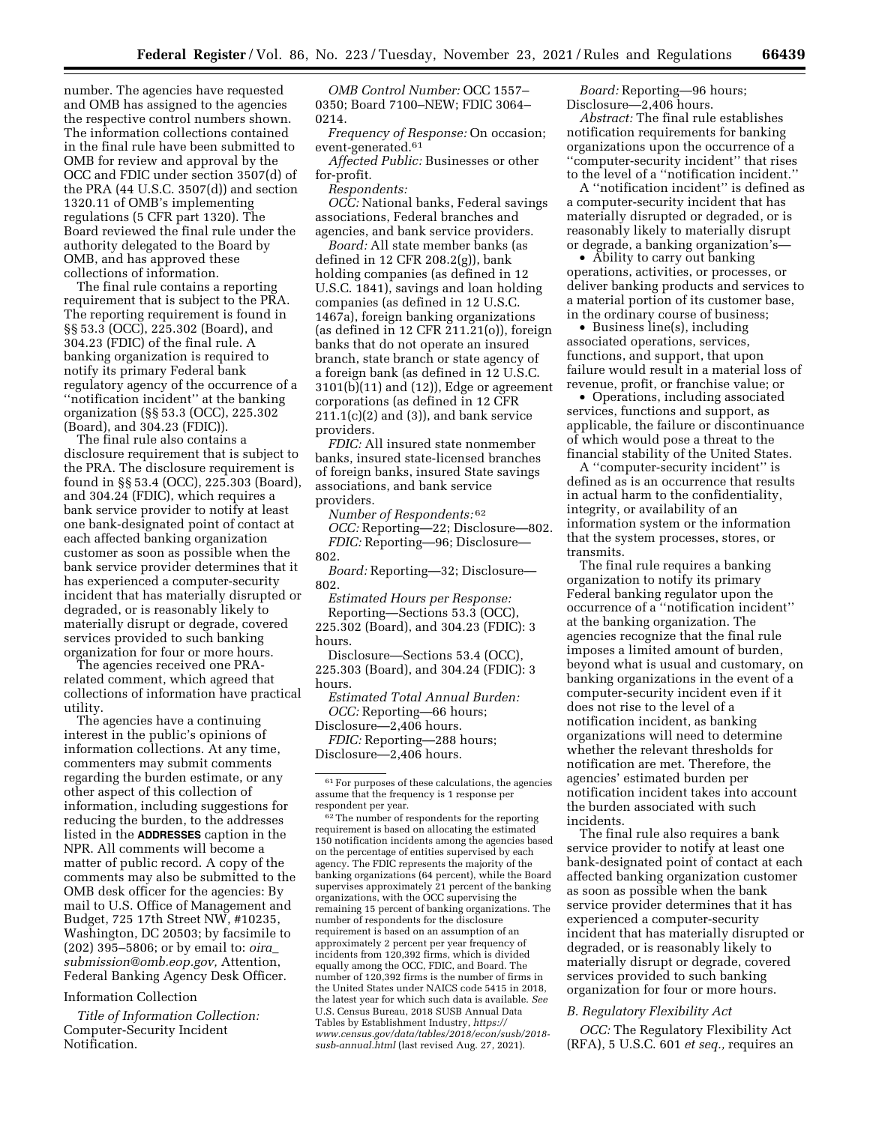number. The agencies have requested and OMB has assigned to the agencies the respective control numbers shown. The information collections contained in the final rule have been submitted to OMB for review and approval by the OCC and FDIC under section 3507(d) of the PRA (44 U.S.C. 3507(d)) and section 1320.11 of OMB's implementing regulations (5 CFR part 1320). The Board reviewed the final rule under the authority delegated to the Board by OMB, and has approved these collections of information.

The final rule contains a reporting requirement that is subject to the PRA. The reporting requirement is found in §§ 53.3 (OCC), 225.302 (Board), and 304.23 (FDIC) of the final rule. A banking organization is required to notify its primary Federal bank regulatory agency of the occurrence of a ''notification incident'' at the banking organization (§§ 53.3 (OCC), 225.302 (Board), and 304.23 (FDIC)).

The final rule also contains a disclosure requirement that is subject to the PRA. The disclosure requirement is found in §§ 53.4 (OCC), 225.303 (Board), and 304.24 (FDIC), which requires a bank service provider to notify at least one bank-designated point of contact at each affected banking organization customer as soon as possible when the bank service provider determines that it has experienced a computer-security incident that has materially disrupted or degraded, or is reasonably likely to materially disrupt or degrade, covered services provided to such banking organization for four or more hours.

The agencies received one PRArelated comment, which agreed that collections of information have practical utility.

The agencies have a continuing interest in the public's opinions of information collections. At any time, commenters may submit comments regarding the burden estimate, or any other aspect of this collection of information, including suggestions for reducing the burden, to the addresses listed in the **ADDRESSES** caption in the NPR. All comments will become a matter of public record. A copy of the comments may also be submitted to the OMB desk officer for the agencies: By mail to U.S. Office of Management and Budget, 725 17th Street NW, #10235, Washington, DC 20503; by facsimile to (202) 395–5806; or by email to: *[oira](mailto:oira_submission@omb.eop.gov)*\_ *[submission@omb.eop.gov,](mailto:oira_submission@omb.eop.gov)* Attention, Federal Banking Agency Desk Officer.

### Information Collection

*Title of Information Collection:*  Computer-Security Incident Notification.

*OMB Control Number:* OCC 1557– 0350; Board 7100–NEW; FDIC 3064– 0214.

*Frequency of Response:* On occasion; event-generated.61

*Affected Public:* Businesses or other for-profit.

*Respondents:* 

*OCC:* National banks, Federal savings associations, Federal branches and agencies, and bank service providers.

*Board:* All state member banks (as defined in 12 CFR 208.2(g)), bank holding companies (as defined in 12 U.S.C. 1841), savings and loan holding companies (as defined in 12 U.S.C. 1467a), foreign banking organizations (as defined in 12 CFR 211.21(o)), foreign banks that do not operate an insured branch, state branch or state agency of a foreign bank (as defined in 12 U.S.C. 3101(b)(11) and (12)), Edge or agreement corporations (as defined in 12 CFR  $211.1(c)(2)$  and  $(3)$ ), and bank service providers.

*FDIC:* All insured state nonmember banks, insured state-licensed branches of foreign banks, insured State savings associations, and bank service providers.

*Number of Respondents:* 62

*OCC:* Reporting—22; Disclosure—802. *FDIC:* Reporting—96; Disclosure— 802.

*Board:* Reporting—32; Disclosure— 802.

*Estimated Hours per Response:*  Reporting—Sections 53.3 (OCC), 225.302 (Board), and 304.23 (FDIC): 3

hours. Disclosure—Sections 53.4 (OCC),

225.303 (Board), and 304.24 (FDIC): 3 hours.

*Estimated Total Annual Burden: OCC:* Reporting—66 hours; Disclosure—2,406 hours.

*FDIC:* Reporting—288 hours; Disclosure—2,406 hours.

 $^{62}$  The number of respondents for the reporting requirement is based on allocating the estimated 150 notification incidents among the agencies based on the percentage of entities supervised by each agency. The FDIC represents the majority of the banking organizations (64 percent), while the Board supervises approximately 21 percent of the banking organizations, with the OCC supervising the remaining 15 percent of banking organizations. The number of respondents for the disclosure requirement is based on an assumption of an approximately 2 percent per year frequency of incidents from 120,392 firms, which is divided equally among the OCC, FDIC, and Board. The number of 120,392 firms is the number of firms in the United States under NAICS code 5415 in 2018, the latest year for which such data is available. *See*  U.S. Census Bureau, 2018 SUSB Annual Data Tables by Establishment Industry, *[https://](https://www.census.gov/data/tables/2018/econ/susb/2018-susb-annual.html) [www.census.gov/data/tables/2018/econ/susb/2018](https://www.census.gov/data/tables/2018/econ/susb/2018-susb-annual.html) [susb-annual.html](https://www.census.gov/data/tables/2018/econ/susb/2018-susb-annual.html)* (last revised Aug. 27, 2021).

*Board:* Reporting—96 hours; Disclosure—2,406 hours.

*Abstract:* The final rule establishes notification requirements for banking organizations upon the occurrence of a ''computer-security incident'' that rises to the level of a ''notification incident.''

A ''notification incident'' is defined as a computer-security incident that has materially disrupted or degraded, or is reasonably likely to materially disrupt or degrade, a banking organization's—

• Ability to carry out banking operations, activities, or processes, or deliver banking products and services to a material portion of its customer base, in the ordinary course of business;

• Business line(s), including associated operations, services, functions, and support, that upon failure would result in a material loss of revenue, profit, or franchise value; or

• Operations, including associated services, functions and support, as applicable, the failure or discontinuance of which would pose a threat to the financial stability of the United States.

A ''computer-security incident'' is defined as is an occurrence that results in actual harm to the confidentiality, integrity, or availability of an information system or the information that the system processes, stores, or transmits.

The final rule requires a banking organization to notify its primary Federal banking regulator upon the occurrence of a ''notification incident'' at the banking organization. The agencies recognize that the final rule imposes a limited amount of burden, beyond what is usual and customary, on banking organizations in the event of a computer-security incident even if it does not rise to the level of a notification incident, as banking organizations will need to determine whether the relevant thresholds for notification are met. Therefore, the agencies' estimated burden per notification incident takes into account the burden associated with such incidents.

The final rule also requires a bank service provider to notify at least one bank-designated point of contact at each affected banking organization customer as soon as possible when the bank service provider determines that it has experienced a computer-security incident that has materially disrupted or degraded, or is reasonably likely to materially disrupt or degrade, covered services provided to such banking organization for four or more hours.

### *B. Regulatory Flexibility Act*

*OCC:* The Regulatory Flexibility Act (RFA), 5 U.S.C. 601 *et seq.,* requires an

<sup>61</sup>For purposes of these calculations, the agencies assume that the frequency is 1 response per respondent per year.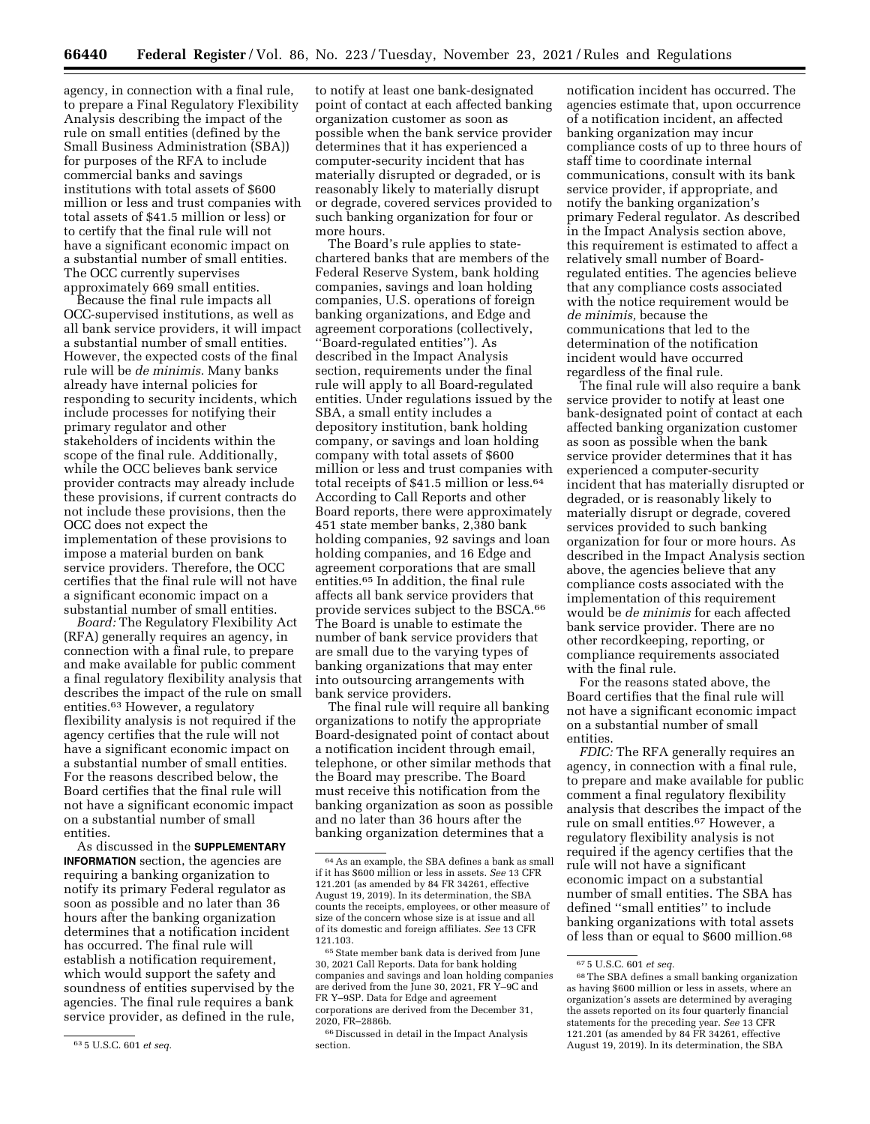agency, in connection with a final rule, to prepare a Final Regulatory Flexibility Analysis describing the impact of the rule on small entities (defined by the Small Business Administration (SBA)) for purposes of the RFA to include commercial banks and savings institutions with total assets of \$600 million or less and trust companies with total assets of \$41.5 million or less) or to certify that the final rule will not have a significant economic impact on a substantial number of small entities. The OCC currently supervises approximately 669 small entities.

Because the final rule impacts all OCC-supervised institutions, as well as all bank service providers, it will impact a substantial number of small entities. However, the expected costs of the final rule will be *de minimis.* Many banks already have internal policies for responding to security incidents, which include processes for notifying their primary regulator and other stakeholders of incidents within the scope of the final rule. Additionally, while the OCC believes bank service provider contracts may already include these provisions, if current contracts do not include these provisions, then the OCC does not expect the implementation of these provisions to impose a material burden on bank service providers. Therefore, the OCC certifies that the final rule will not have a significant economic impact on a substantial number of small entities.

*Board:* The Regulatory Flexibility Act (RFA) generally requires an agency, in connection with a final rule, to prepare and make available for public comment a final regulatory flexibility analysis that describes the impact of the rule on small entities.63 However, a regulatory flexibility analysis is not required if the agency certifies that the rule will not have a significant economic impact on a substantial number of small entities. For the reasons described below, the Board certifies that the final rule will not have a significant economic impact on a substantial number of small entities.

As discussed in the **SUPPLEMENTARY INFORMATION** section, the agencies are requiring a banking organization to notify its primary Federal regulator as soon as possible and no later than 36 hours after the banking organization determines that a notification incident has occurred. The final rule will establish a notification requirement, which would support the safety and soundness of entities supervised by the agencies. The final rule requires a bank service provider, as defined in the rule,

to notify at least one bank-designated point of contact at each affected banking organization customer as soon as possible when the bank service provider determines that it has experienced a computer-security incident that has materially disrupted or degraded, or is reasonably likely to materially disrupt or degrade, covered services provided to such banking organization for four or more hours.

The Board's rule applies to statechartered banks that are members of the Federal Reserve System, bank holding companies, savings and loan holding companies, U.S. operations of foreign banking organizations, and Edge and agreement corporations (collectively, ''Board-regulated entities''). As described in the Impact Analysis section, requirements under the final rule will apply to all Board-regulated entities. Under regulations issued by the SBA, a small entity includes a depository institution, bank holding company, or savings and loan holding company with total assets of \$600 million or less and trust companies with total receipts of \$41.5 million or less.64 According to Call Reports and other Board reports, there were approximately 451 state member banks, 2,380 bank holding companies, 92 savings and loan holding companies, and 16 Edge and agreement corporations that are small entities.65 In addition, the final rule affects all bank service providers that provide services subject to the BSCA.66 The Board is unable to estimate the number of bank service providers that are small due to the varying types of banking organizations that may enter into outsourcing arrangements with bank service providers.

The final rule will require all banking organizations to notify the appropriate Board-designated point of contact about a notification incident through email, telephone, or other similar methods that the Board may prescribe. The Board must receive this notification from the banking organization as soon as possible and no later than 36 hours after the banking organization determines that a

notification incident has occurred. The agencies estimate that, upon occurrence of a notification incident, an affected banking organization may incur compliance costs of up to three hours of staff time to coordinate internal communications, consult with its bank service provider, if appropriate, and notify the banking organization's primary Federal regulator. As described in the Impact Analysis section above, this requirement is estimated to affect a relatively small number of Boardregulated entities. The agencies believe that any compliance costs associated with the notice requirement would be *de minimis,* because the communications that led to the determination of the notification incident would have occurred regardless of the final rule.

The final rule will also require a bank service provider to notify at least one bank-designated point of contact at each affected banking organization customer as soon as possible when the bank service provider determines that it has experienced a computer-security incident that has materially disrupted or degraded, or is reasonably likely to materially disrupt or degrade, covered services provided to such banking organization for four or more hours. As described in the Impact Analysis section above, the agencies believe that any compliance costs associated with the implementation of this requirement would be *de minimis* for each affected bank service provider. There are no other recordkeeping, reporting, or compliance requirements associated with the final rule.

For the reasons stated above, the Board certifies that the final rule will not have a significant economic impact on a substantial number of small entities.

*FDIC:* The RFA generally requires an agency, in connection with a final rule, to prepare and make available for public comment a final regulatory flexibility analysis that describes the impact of the rule on small entities.67 However, a regulatory flexibility analysis is not required if the agency certifies that the rule will not have a significant economic impact on a substantial number of small entities. The SBA has defined ''small entities'' to include banking organizations with total assets of less than or equal to \$600 million.68

<sup>63</sup> 5 U.S.C. 601 *et seq.* 

<sup>64</sup>As an example, the SBA defines a bank as small if it has \$600 million or less in assets. *See* 13 CFR 121.201 (as amended by 84 FR 34261, effective August 19, 2019). In its determination, the SBA counts the receipts, employees, or other measure of size of the concern whose size is at issue and all of its domestic and foreign affiliates. *See* 13 CFR 121.103.

 $^{65}\rm{State}$  member bank data is derived from June 30, 2021 Call Reports. Data for bank holding companies and savings and loan holding companies are derived from the June 30, 2021, FR Y–9C and FR Y–9SP. Data for Edge and agreement corporations are derived from the December 31, 2020, FR–2886b.

<sup>66</sup> Discussed in detail in the Impact Analysis section.

<sup>67</sup> 5 U.S.C. 601 *et seq.* 

<sup>68</sup>The SBA defines a small banking organization as having \$600 million or less in assets, where an organization's assets are determined by averaging the assets reported on its four quarterly financial statements for the preceding year. *See* 13 CFR 121.201 (as amended by 84 FR 34261, effective August 19, 2019). In its determination, the SBA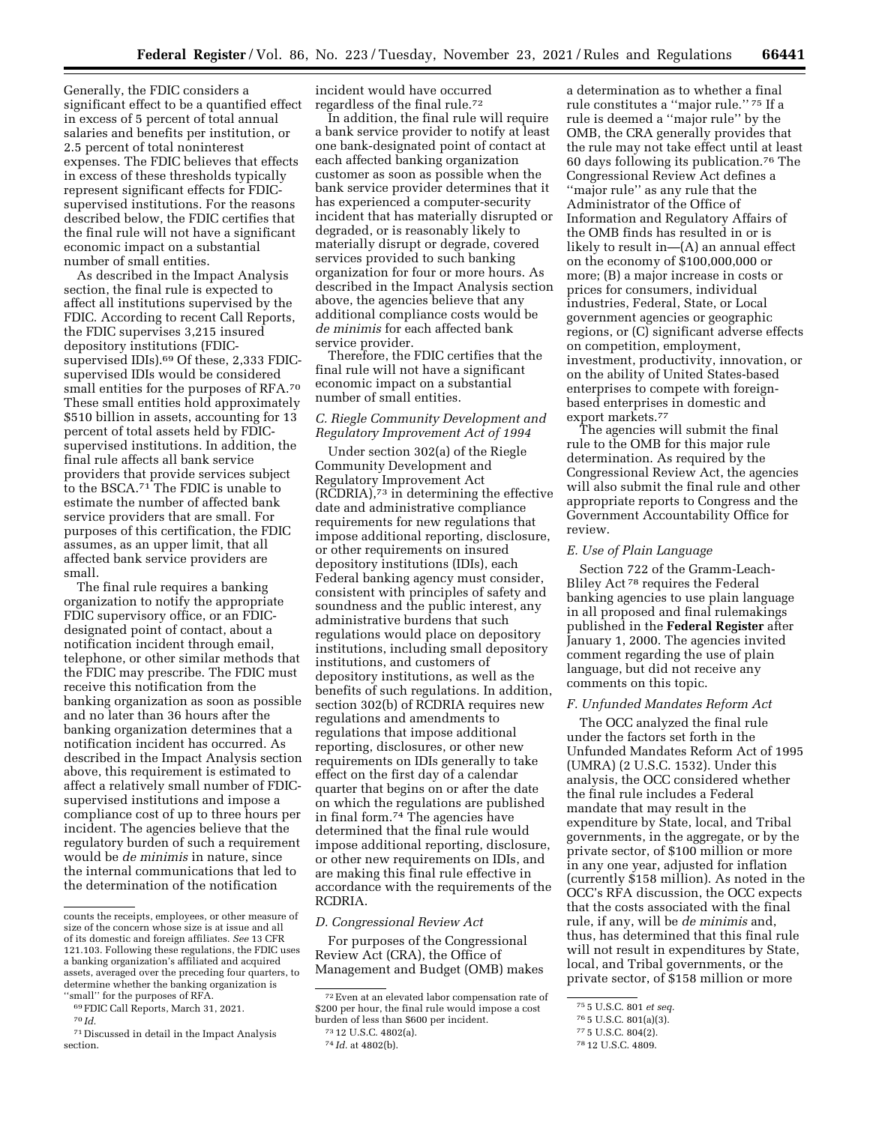Generally, the FDIC considers a significant effect to be a quantified effect in excess of 5 percent of total annual salaries and benefits per institution, or 2.5 percent of total noninterest expenses. The FDIC believes that effects in excess of these thresholds typically represent significant effects for FDICsupervised institutions. For the reasons described below, the FDIC certifies that the final rule will not have a significant economic impact on a substantial number of small entities.

As described in the Impact Analysis section, the final rule is expected to affect all institutions supervised by the FDIC. According to recent Call Reports, the FDIC supervises 3,215 insured depository institutions (FDICsupervised IDIs).<sup>69</sup> Of these, 2,333 FDICsupervised IDIs would be considered small entities for the purposes of RFA.70 These small entities hold approximately \$510 billion in assets, accounting for 13 percent of total assets held by FDICsupervised institutions. In addition, the final rule affects all bank service providers that provide services subject to the BSCA.71 The FDIC is unable to estimate the number of affected bank service providers that are small. For purposes of this certification, the FDIC assumes, as an upper limit, that all affected bank service providers are small.

The final rule requires a banking organization to notify the appropriate FDIC supervisory office, or an FDICdesignated point of contact, about a notification incident through email, telephone, or other similar methods that the FDIC may prescribe. The FDIC must receive this notification from the banking organization as soon as possible and no later than 36 hours after the banking organization determines that a notification incident has occurred. As described in the Impact Analysis section above, this requirement is estimated to affect a relatively small number of FDICsupervised institutions and impose a compliance cost of up to three hours per incident. The agencies believe that the regulatory burden of such a requirement would be *de minimis* in nature, since the internal communications that led to the determination of the notification

70 *Id.* 

incident would have occurred regardless of the final rule.72

In addition, the final rule will require a bank service provider to notify at least one bank-designated point of contact at each affected banking organization customer as soon as possible when the bank service provider determines that it has experienced a computer-security incident that has materially disrupted or degraded, or is reasonably likely to materially disrupt or degrade, covered services provided to such banking organization for four or more hours. As described in the Impact Analysis section above, the agencies believe that any additional compliance costs would be *de minimis* for each affected bank service provider.

Therefore, the FDIC certifies that the final rule will not have a significant economic impact on a substantial number of small entities.

# *C. Riegle Community Development and Regulatory Improvement Act of 1994*

Under section 302(a) of the Riegle Community Development and Regulatory Improvement Act (RCDRIA),73 in determining the effective date and administrative compliance requirements for new regulations that impose additional reporting, disclosure, or other requirements on insured depository institutions (IDIs), each Federal banking agency must consider, consistent with principles of safety and soundness and the public interest, any administrative burdens that such regulations would place on depository institutions, including small depository institutions, and customers of depository institutions, as well as the benefits of such regulations. In addition, section 302(b) of RCDRIA requires new regulations and amendments to regulations that impose additional reporting, disclosures, or other new requirements on IDIs generally to take effect on the first day of a calendar quarter that begins on or after the date on which the regulations are published in final form.74 The agencies have determined that the final rule would impose additional reporting, disclosure, or other new requirements on IDIs, and are making this final rule effective in accordance with the requirements of the RCDRIA.

#### *D. Congressional Review Act*

For purposes of the Congressional Review Act (CRA), the Office of Management and Budget (OMB) makes

a determination as to whether a final rule constitutes a ''major rule.'' 75 If a rule is deemed a ''major rule'' by the OMB, the CRA generally provides that the rule may not take effect until at least 60 days following its publication.76 The Congressional Review Act defines a ''major rule'' as any rule that the Administrator of the Office of Information and Regulatory Affairs of the OMB finds has resulted in or is likely to result in—(A) an annual effect on the economy of \$100,000,000 or more; (B) a major increase in costs or prices for consumers, individual industries, Federal, State, or Local government agencies or geographic regions, or (C) significant adverse effects on competition, employment, investment, productivity, innovation, or on the ability of United States-based enterprises to compete with foreignbased enterprises in domestic and export markets.77

The agencies will submit the final rule to the OMB for this major rule determination. As required by the Congressional Review Act, the agencies will also submit the final rule and other appropriate reports to Congress and the Government Accountability Office for review.

#### *E. Use of Plain Language*

Section 722 of the Gramm-Leach-Bliley Act 78 requires the Federal banking agencies to use plain language in all proposed and final rulemakings published in the **Federal Register** after January 1, 2000. The agencies invited comment regarding the use of plain language, but did not receive any comments on this topic.

### *F. Unfunded Mandates Reform Act*

The OCC analyzed the final rule under the factors set forth in the Unfunded Mandates Reform Act of 1995 (UMRA) (2 U.S.C. 1532). Under this analysis, the OCC considered whether the final rule includes a Federal mandate that may result in the expenditure by State, local, and Tribal governments, in the aggregate, or by the private sector, of \$100 million or more in any one year, adjusted for inflation (currently \$158 million). As noted in the OCC's RFA discussion, the OCC expects that the costs associated with the final rule, if any, will be *de minimis* and, thus, has determined that this final rule will not result in expenditures by State, local, and Tribal governments, or the private sector, of \$158 million or more

counts the receipts, employees, or other measure of size of the concern whose size is at issue and all of its domestic and foreign affiliates. *See* 13 CFR 121.103. Following these regulations, the FDIC uses a banking organization's affiliated and acquired assets, averaged over the preceding four quarters, to determine whether the banking organization is ''small'' for the purposes of RFA.

<sup>69</sup>FDIC Call Reports, March 31, 2021.

<sup>71</sup> Discussed in detail in the Impact Analysis section.

<sup>72</sup>Even at an elevated labor compensation rate of \$200 per hour, the final rule would impose a cost burden of less than \$600 per incident.

<sup>73</sup> 12 U.S.C. 4802(a).

<sup>74</sup> *Id.* at 4802(b).

<sup>75</sup> 5 U.S.C. 801 *et seq.* 

<sup>76</sup> 5 U.S.C. 801(a)(3).

<sup>77</sup> 5 U.S.C. 804(2).

<sup>78</sup> 12 U.S.C. 4809.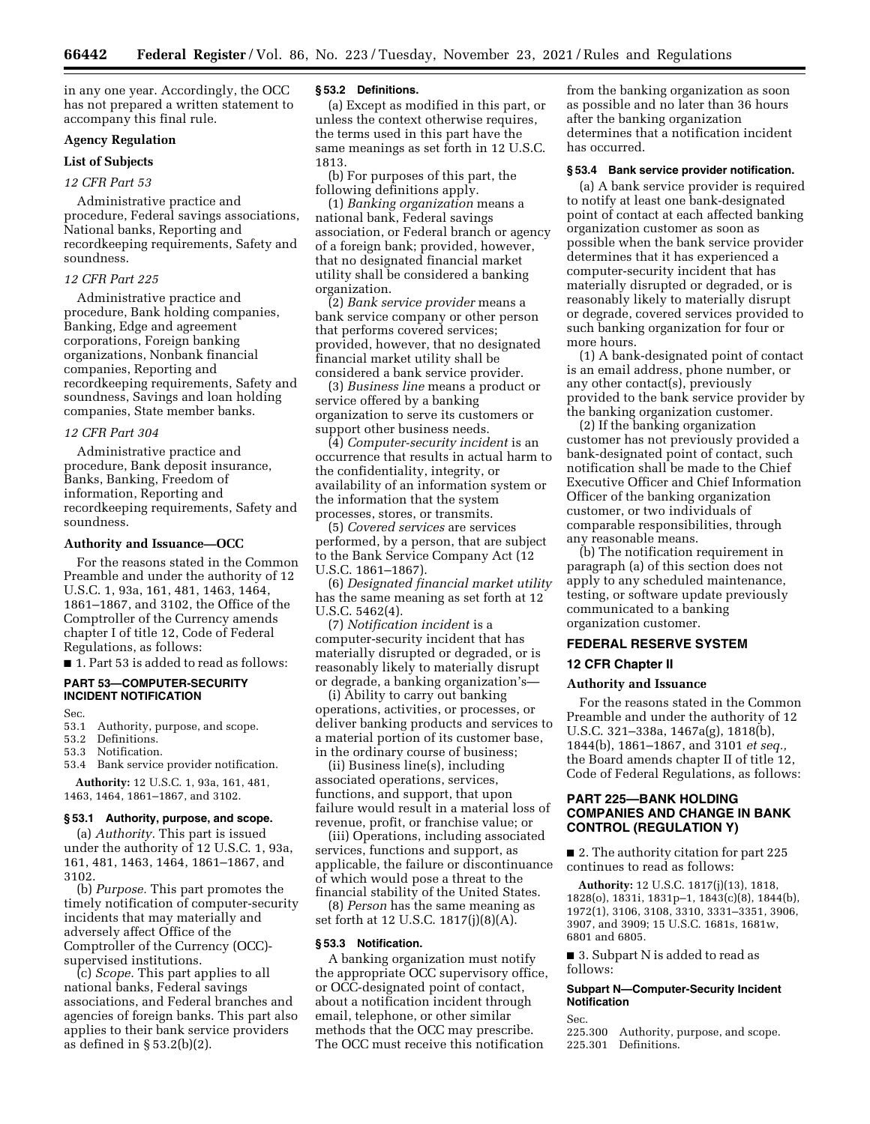in any one year. Accordingly, the OCC has not prepared a written statement to accompany this final rule.

# **Agency Regulation**

# **List of Subjects**

### *12 CFR Part 53*

Administrative practice and procedure, Federal savings associations, National banks, Reporting and recordkeeping requirements, Safety and soundness.

# *12 CFR Part 225*

Administrative practice and procedure, Bank holding companies, Banking, Edge and agreement corporations, Foreign banking organizations, Nonbank financial companies, Reporting and recordkeeping requirements, Safety and soundness, Savings and loan holding companies, State member banks.

#### *12 CFR Part 304*

Administrative practice and procedure, Bank deposit insurance, Banks, Banking, Freedom of information, Reporting and recordkeeping requirements, Safety and soundness.

#### **Authority and Issuance—OCC**

For the reasons stated in the Common Preamble and under the authority of 12 U.S.C. 1, 93a, 161, 481, 1463, 1464, 1861–1867, and 3102, the Office of the Comptroller of the Currency amends chapter I of title 12, Code of Federal Regulations, as follows:

■ 1. Part 53 is added to read as follows:

# **PART 53—COMPUTER-SECURITY INCIDENT NOTIFICATION**

Sec.

53.1 Authority, purpose, and scope.<br>53.2 Definitions.

Definitions.

53.3 Notification.

53.4 Bank service provider notification. **Authority:** 12 U.S.C. 1, 93a, 161, 481, 1463, 1464, 1861–1867, and 3102.

# **§ 53.1 Authority, purpose, and scope.**

(a) *Authority.* This part is issued under the authority of 12 U.S.C. 1, 93a, 161, 481, 1463, 1464, 1861–1867, and 3102.

(b) *Purpose.* This part promotes the timely notification of computer-security incidents that may materially and adversely affect Office of the Comptroller of the Currency (OCC) supervised institutions.

(c) *Scope.* This part applies to all national banks, Federal savings associations, and Federal branches and agencies of foreign banks. This part also applies to their bank service providers as defined in § 53.2(b)(2).

### **§ 53.2 Definitions.**

(a) Except as modified in this part, or unless the context otherwise requires, the terms used in this part have the same meanings as set forth in 12 U.S.C. 1813.

(b) For purposes of this part, the following definitions apply.

(1) *Banking organization* means a national bank, Federal savings association, or Federal branch or agency of a foreign bank; provided, however, that no designated financial market utility shall be considered a banking organization.

(2) *Bank service provider* means a bank service company or other person that performs covered services; provided, however, that no designated financial market utility shall be considered a bank service provider.

(3) *Business line* means a product or service offered by a banking organization to serve its customers or support other business needs.

(4) *Computer-security incident* is an occurrence that results in actual harm to the confidentiality, integrity, or availability of an information system or the information that the system processes, stores, or transmits.

(5) *Covered services* are services performed, by a person, that are subject to the Bank Service Company Act (12 U.S.C. 1861–1867).

(6) *Designated financial market utility*  has the same meaning as set forth at 12 U.S.C. 5462(4).

(7) *Notification incident* is a computer-security incident that has materially disrupted or degraded, or is reasonably likely to materially disrupt or degrade, a banking organization's—

(i) Ability to carry out banking operations, activities, or processes, or deliver banking products and services to a material portion of its customer base, in the ordinary course of business;

(ii) Business line(s), including associated operations, services, functions, and support, that upon failure would result in a material loss of revenue, profit, or franchise value; or

(iii) Operations, including associated services, functions and support, as applicable, the failure or discontinuance of which would pose a threat to the financial stability of the United States.

(8) *Person* has the same meaning as set forth at 12 U.S.C. 1817(j)(8)(A).

## **§ 53.3 Notification.**

A banking organization must notify the appropriate OCC supervisory office, or OCC-designated point of contact, about a notification incident through email, telephone, or other similar methods that the OCC may prescribe. The OCC must receive this notification

from the banking organization as soon as possible and no later than 36 hours after the banking organization determines that a notification incident has occurred.

#### **§ 53.4 Bank service provider notification.**

(a) A bank service provider is required to notify at least one bank-designated point of contact at each affected banking organization customer as soon as possible when the bank service provider determines that it has experienced a computer-security incident that has materially disrupted or degraded, or is reasonably likely to materially disrupt or degrade, covered services provided to such banking organization for four or more hours.

(1) A bank-designated point of contact is an email address, phone number, or any other contact(s), previously provided to the bank service provider by the banking organization customer.

(2) If the banking organization customer has not previously provided a bank-designated point of contact, such notification shall be made to the Chief Executive Officer and Chief Information Officer of the banking organization customer, or two individuals of comparable responsibilities, through any reasonable means.

(b) The notification requirement in paragraph (a) of this section does not apply to any scheduled maintenance, testing, or software update previously communicated to a banking organization customer.

### **FEDERAL RESERVE SYSTEM**

### **12 CFR Chapter II**

### **Authority and Issuance**

For the reasons stated in the Common Preamble and under the authority of 12 U.S.C. 321–338a, 1467a(g), 1818(b), 1844(b), 1861–1867, and 3101 *et seq.,*  the Board amends chapter II of title 12, Code of Federal Regulations, as follows:

# **PART 225—BANK HOLDING COMPANIES AND CHANGE IN BANK CONTROL (REGULATION Y)**

■ 2. The authority citation for part 225 continues to read as follows:

**Authority:** 12 U.S.C. 1817(j)(13), 1818, 1828(o), 1831i, 1831p–1, 1843(c)(8), 1844(b), 1972(1), 3106, 3108, 3310, 3331–3351, 3906, 3907, and 3909; 15 U.S.C. 1681s, 1681w, 6801 and 6805.

■ 3. Subpart N is added to read as follows:

# **Subpart N—Computer-Security Incident Notification**

Sec.

225.300 Authority, purpose, and scope. 225.301 Definitions.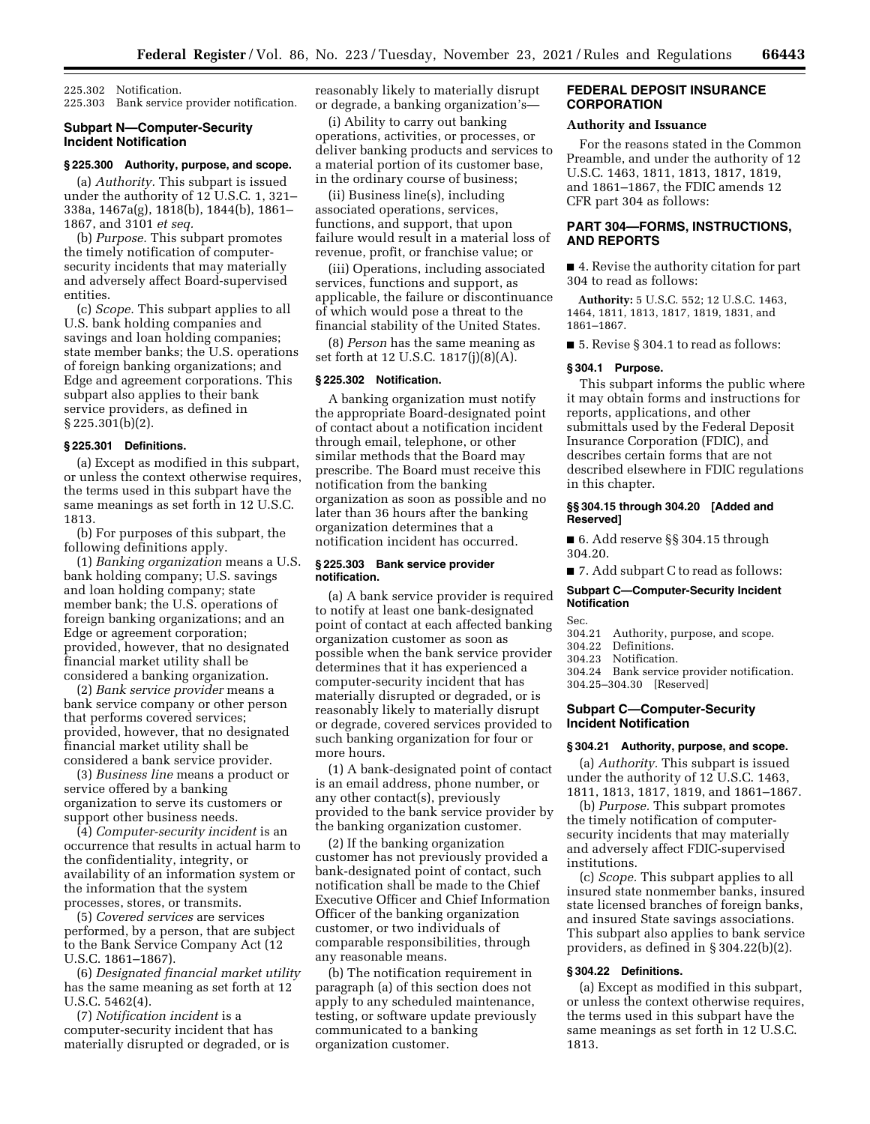225.302 Notification. 225.303 Bank service provider notification.

### **Subpart N—Computer-Security Incident Notification**

### **§ 225.300 Authority, purpose, and scope.**

(a) *Authority.* This subpart is issued under the authority of 12 U.S.C. 1, 321– 338a, 1467a(g), 1818(b), 1844(b), 1861– 1867, and 3101 *et seq.* 

(b) *Purpose.* This subpart promotes the timely notification of computersecurity incidents that may materially and adversely affect Board-supervised entities.

(c) *Scope.* This subpart applies to all U.S. bank holding companies and savings and loan holding companies; state member banks; the U.S. operations of foreign banking organizations; and Edge and agreement corporations. This subpart also applies to their bank service providers, as defined in § 225.301(b)(2).

#### **§ 225.301 Definitions.**

(a) Except as modified in this subpart, or unless the context otherwise requires, the terms used in this subpart have the same meanings as set forth in 12 U.S.C. 1813.

(b) For purposes of this subpart, the following definitions apply.

(1) *Banking organization* means a U.S. bank holding company; U.S. savings and loan holding company; state member bank; the U.S. operations of foreign banking organizations; and an Edge or agreement corporation; provided, however, that no designated financial market utility shall be considered a banking organization.

(2) *Bank service provider* means a bank service company or other person that performs covered services; provided, however, that no designated financial market utility shall be considered a bank service provider.

(3) *Business line* means a product or service offered by a banking organization to serve its customers or support other business needs.

(4) *Computer-security incident* is an occurrence that results in actual harm to the confidentiality, integrity, or availability of an information system or the information that the system processes, stores, or transmits.

(5) *Covered services* are services performed, by a person, that are subject to the Bank Service Company Act (12 U.S.C. 1861–1867).

(6) *Designated financial market utility*  has the same meaning as set forth at 12 U.S.C. 5462(4).

(7) *Notification incident* is a computer-security incident that has materially disrupted or degraded, or is reasonably likely to materially disrupt or degrade, a banking organization's—

(i) Ability to carry out banking operations, activities, or processes, or deliver banking products and services to a material portion of its customer base, in the ordinary course of business;

(ii) Business line(s), including associated operations, services, functions, and support, that upon failure would result in a material loss of revenue, profit, or franchise value; or

(iii) Operations, including associated services, functions and support, as applicable, the failure or discontinuance of which would pose a threat to the financial stability of the United States.

(8) *Person* has the same meaning as set forth at 12 U.S.C. 1817(j)(8)(A).

### **§ 225.302 Notification.**

A banking organization must notify the appropriate Board-designated point of contact about a notification incident through email, telephone, or other similar methods that the Board may prescribe. The Board must receive this notification from the banking organization as soon as possible and no later than 36 hours after the banking organization determines that a notification incident has occurred.

#### **§ 225.303 Bank service provider notification.**

(a) A bank service provider is required to notify at least one bank-designated point of contact at each affected banking organization customer as soon as possible when the bank service provider determines that it has experienced a computer-security incident that has materially disrupted or degraded, or is reasonably likely to materially disrupt or degrade, covered services provided to such banking organization for four or more hours.

(1) A bank-designated point of contact is an email address, phone number, or any other contact(s), previously provided to the bank service provider by the banking organization customer.

(2) If the banking organization customer has not previously provided a bank-designated point of contact, such notification shall be made to the Chief Executive Officer and Chief Information Officer of the banking organization customer, or two individuals of comparable responsibilities, through any reasonable means.

(b) The notification requirement in paragraph (a) of this section does not apply to any scheduled maintenance, testing, or software update previously communicated to a banking organization customer.

### **FEDERAL DEPOSIT INSURANCE CORPORATION**

## **Authority and Issuance**

For the reasons stated in the Common Preamble, and under the authority of 12 U.S.C. 1463, 1811, 1813, 1817, 1819, and 1861–1867, the FDIC amends 12 CFR part 304 as follows:

## **PART 304—FORMS, INSTRUCTIONS, AND REPORTS**

■ 4. Revise the authority citation for part 304 to read as follows:

**Authority:** 5 U.S.C. 552; 12 U.S.C. 1463, 1464, 1811, 1813, 1817, 1819, 1831, and 1861–1867.

■ 5. Revise § 304.1 to read as follows:

#### **§ 304.1 Purpose.**

This subpart informs the public where it may obtain forms and instructions for reports, applications, and other submittals used by the Federal Deposit Insurance Corporation (FDIC), and describes certain forms that are not described elsewhere in FDIC regulations in this chapter.

#### **§§ 304.15 through 304.20 [Added and Reserved]**

■ 6. Add reserve §§ 304.15 through 304.20.

■ 7. Add subpart C to read as follows:

### **Subpart C—Computer-Security Incident Notification**

Sec.

- 304.21 Authority, purpose, and scope.
- 304.22 Definitions.
- 304.23 Notification.
- 304.24 Bank service provider notification.
- 304.25–304.30 [Reserved]

# **Subpart C—Computer-Security Incident Notification**

# **§ 304.21 Authority, purpose, and scope.**

(a) *Authority.* This subpart is issued under the authority of 12 U.S.C. 1463, 1811, 1813, 1817, 1819, and 1861–1867.

(b) *Purpose.* This subpart promotes the timely notification of computersecurity incidents that may materially and adversely affect FDIC-supervised institutions.

(c) *Scope.* This subpart applies to all insured state nonmember banks, insured state licensed branches of foreign banks, and insured State savings associations. This subpart also applies to bank service providers, as defined in § 304.22(b)(2).

# **§ 304.22 Definitions.**

(a) Except as modified in this subpart, or unless the context otherwise requires, the terms used in this subpart have the same meanings as set forth in 12 U.S.C. 1813.